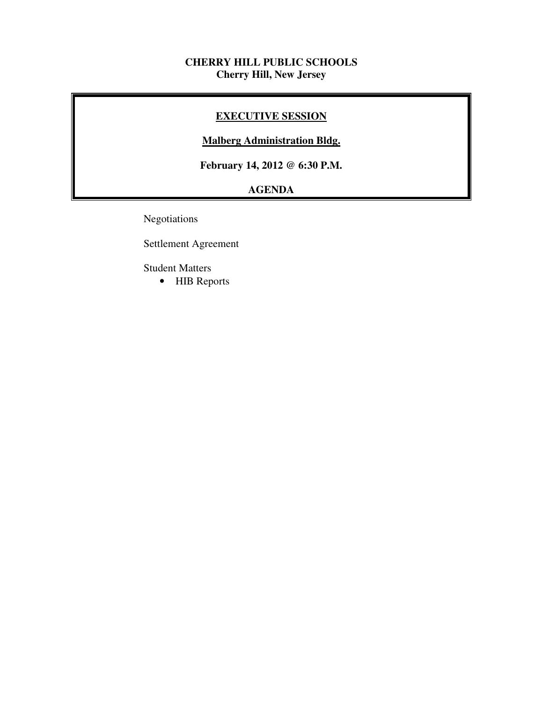### **CHERRY HILL PUBLIC SCHOOLS Cherry Hill, New Jersey**

# **EXECUTIVE SESSION**

### **Malberg Administration Bldg.**

 **February 14, 2012 @ 6:30 P.M.** 

# **AGENDA**

Negotiations

Settlement Agreement

Student Matters

• HIB Reports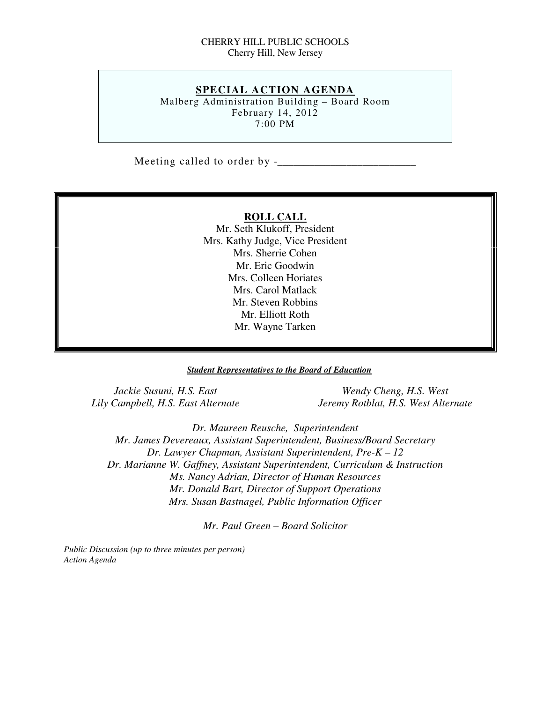### CHERRY HILL PUBLIC SCHOOLS Cherry Hill, New Jersey

# **SPECIAL ACTION AGENDA**

 Malberg Administration Building – Board Room February 14, 2012 7:00 PM

Meeting called to order by -\_\_\_\_\_\_\_\_\_\_\_\_\_\_\_\_\_\_\_\_\_\_\_\_\_\_

### **ROLL CALL**

 Mr. Seth Klukoff, President Mrs. Kathy Judge, Vice President Mrs. Sherrie Cohen Mr. Eric Goodwin Mrs. Colleen Horiates Mrs. Carol Matlack Mr. Steven Robbins Mr. Elliott Roth Mr. Wayne Tarken

### *Student Representatives to the Board of Education*

Jackie Susuni, H.S. East Lily Campbell, H.S. East Alternate

*Wendy Cheng, H.S. West Lily Campbell, H.S. East Alternate Jeremy Rotblat, H.S. West Alternate* 

 *Dr. Maureen Reusche, Superintendent Mr. James Devereaux, Assistant Superintendent, Business/Board Secretary Dr. Lawyer Chapman, Assistant Superintendent, Pre-K – 12 Dr. Marianne W. Gaffney, Assistant Superintendent, Curriculum & Instruction Ms. Nancy Adrian, Director of Human Resources Mr. Donald Bart, Director of Support Operations Mrs. Susan Bastnagel, Public Information Officer* 

 *Mr. Paul Green – Board Solicitor* 

 *Public Discussion (up to three minutes per person) Action Agenda*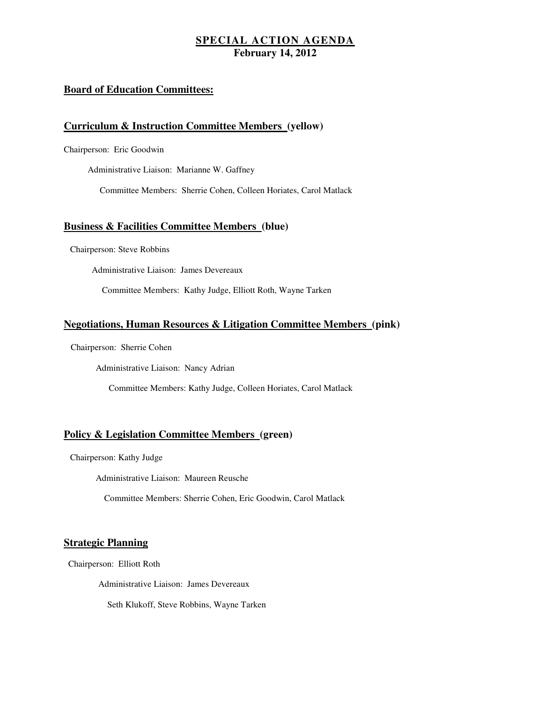### **Board of Education Committees:**

### **Curriculum & Instruction Committee Members (yellow)**

Chairperson: Eric Goodwin

Administrative Liaison: Marianne W. Gaffney

Committee Members: Sherrie Cohen, Colleen Horiates, Carol Matlack

### **Business & Facilities Committee Members (blue)**

Chairperson: Steve Robbins

Administrative Liaison: James Devereaux

Committee Members: Kathy Judge, Elliott Roth, Wayne Tarken

### **Negotiations, Human Resources & Litigation Committee Members (pink)**

Chairperson: Sherrie Cohen

Administrative Liaison: Nancy Adrian

Committee Members: Kathy Judge, Colleen Horiates, Carol Matlack

### **Policy & Legislation Committee Members (green)**

Chairperson: Kathy Judge

Administrative Liaison: Maureen Reusche

Committee Members: Sherrie Cohen, Eric Goodwin, Carol Matlack

### **Strategic Planning**

Chairperson: Elliott Roth

Administrative Liaison: James Devereaux

Seth Klukoff, Steve Robbins, Wayne Tarken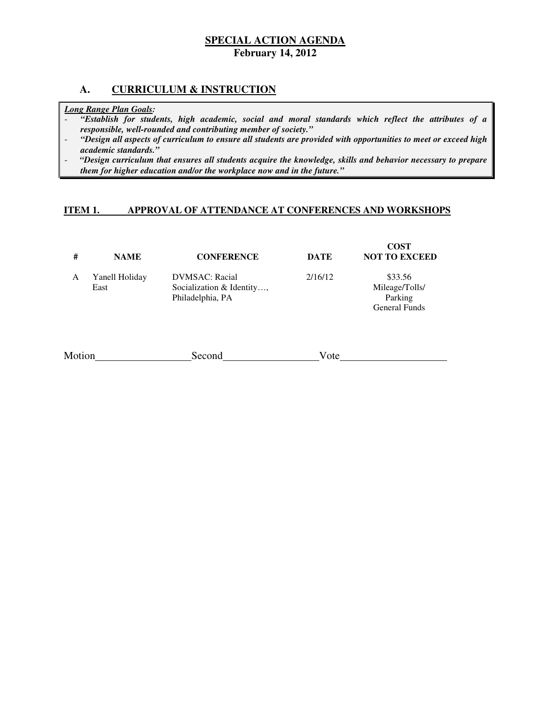### **A. CURRICULUM & INSTRUCTION**

### *Long Range Plan Goals:*

- *"Establish for students, high academic, social and moral standards which reflect the attributes of a responsible, well-rounded and contributing member of society."*
- *"Design all aspects of curriculum to ensure all students are provided with opportunities to meet or exceed high academic standards."*
- *"Design curriculum that ensures all students acquire the knowledge, skills and behavior necessary to prepare them for higher education and/or the workplace now and in the future."*

#### **ITEM 1. IMPROVAL OF ATTENDANCE AT CONFERENCES AND WORKSHOPS**

| #      | <b>NAME</b>            | <b>CONFERENCE</b>                                                       | <b>DATE</b> | <b>COST</b><br><b>NOT TO EXCEED</b>                   |
|--------|------------------------|-------------------------------------------------------------------------|-------------|-------------------------------------------------------|
| A      | Yanell Holiday<br>East | <b>DVMSAC</b> : Racial<br>Socialization & Identity,<br>Philadelphia, PA | 2/16/12     | \$33.56<br>Mileage/Tolls/<br>Parking<br>General Funds |
| Motion |                        | Second                                                                  | Vote        |                                                       |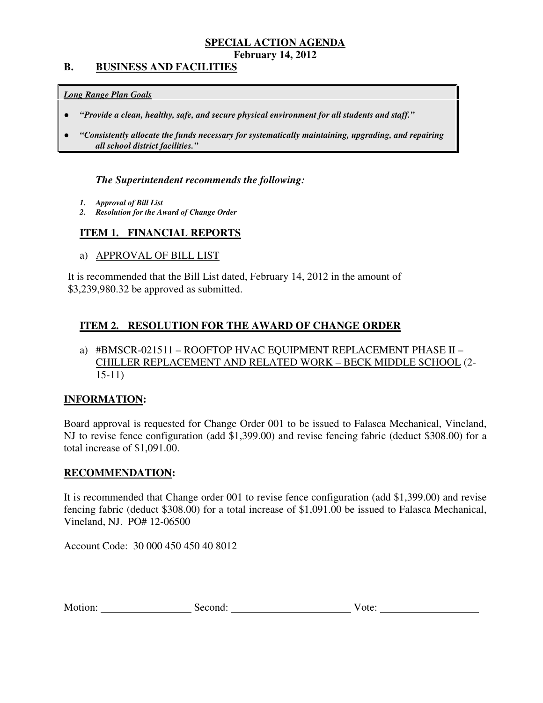### **B. BUSINESS AND FACILITIES**

### *Long Range Plan Goals*

- *"Provide a clean, healthy, safe, and secure physical environment for all students and staff."*
- *all school district facilities."*  ● *"Consistently allocate the funds necessary for systematically maintaining, upgrading, and repairing*

### *The Superintendent recommends the following:*

- *1. Approval of Bill List*
- *2. Resolution for the Award of Change Order*

# **ITEM 1. FINANCIAL REPORTS**

a) APPROVAL OF BILL LIST

 It is recommended that the Bill List dated, February 14, 2012 in the amount of \$3,239,980.32 be approved as submitted.

# **ITEM 2. RESOLUTION FOR THE AWARD OF CHANGE ORDER**

### a) #BMSCR-021511 – ROOFTOP HVAC EQUIPMENT REPLACEMENT PHASE II – CHILLER REPLACEMENT AND RELATED WORK – BECK MIDDLE SCHOOL (2 15-11)

### **INFORMATION:**

 Board approval is requested for Change Order 001 to be issued to Falasca Mechanical, Vineland, NJ to revise fence configuration (add \$1,399.00) and revise fencing fabric (deduct \$308.00) for a total increase of \$1,091.00.

### **RECOMMENDATION:**

 It is recommended that Change order 001 to revise fence configuration (add \$1,399.00) and revise fencing fabric (deduct \$308.00) for a total increase of \$1,091.00 be issued to Falasca Mechanical, Vineland, NJ. PO# 12-06500

Account Code: 30 000 450 450 40 8012

| Motion:<br>second:<br>V ote: |
|------------------------------|
|------------------------------|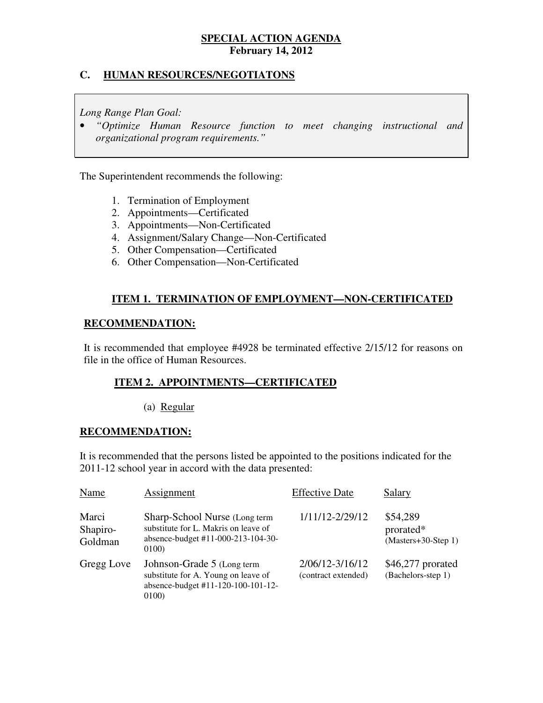# **C. HUMAN RESOURCES/NEGOTIATONS**

 *Long Range Plan Goal:* 

 • *"Optimize Human Resource function to meet changing instructional and organizational program requirements."* 

The Superintendent recommends the following:

- 1. Termination of Employment
- 2. Appointments—Certificated
- 3. Appointments—Non-Certificated
- 4. Assignment/Salary Change—Non-Certificated
- 5. Other Compensation—Certificated
- 6. Other Compensation—Non-Certificated

# **ITEM 1. TERMINATION OF EMPLOYMENT—NON-CERTIFICATED**

### **RECOMMENDATION:**

 It is recommended that employee #4928 be terminated effective 2/15/12 for reasons on file in the office of Human Resources.

### **ITEM 2. APPOINTMENTS—CERTIFICATED**

### (a) Regular

### **RECOMMENDATION:**

 It is recommended that the persons listed be appointed to the positions indicated for the 2011-12 school year in accord with the data presented:

| Name                         | Assignment                                                                                                           | <b>Effective Date</b>                  | Salary                                         |
|------------------------------|----------------------------------------------------------------------------------------------------------------------|----------------------------------------|------------------------------------------------|
| Marci<br>Shapiro-<br>Goldman | Sharp-School Nurse (Long term<br>substitute for L. Makris on leave of<br>absence-budget #11-000-213-104-30-<br>0100) | 1/11/12-2/29/12                        | \$54,289<br>prorated*<br>$(Masters+30-Step 1)$ |
| Gregg Love                   | Johnson-Grade 5 (Long term<br>substitute for A. Young on leave of<br>absence-budget #11-120-100-101-12-<br>0100)     | 2/06/12-3/16/12<br>(contract extended) | $$46,277$ prorated<br>(Bachelors-step 1)       |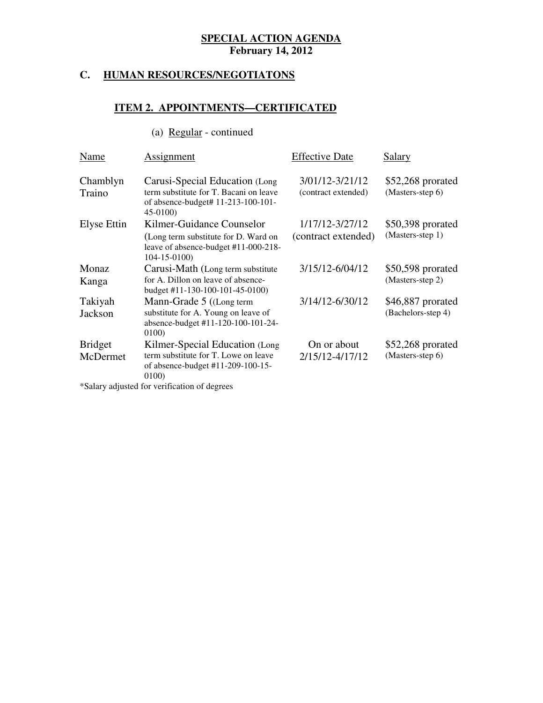#### **HUMAN RESOURCES/NEGOTIATONS**

# **ITEM 2. APPOINTMENTS—CERTIFICATED**

# (a) Regular - continued

| Name                       | Assignment                                                                                                                     | <b>Effective Date</b>                  | Salary                                  |
|----------------------------|--------------------------------------------------------------------------------------------------------------------------------|----------------------------------------|-----------------------------------------|
| Chamblyn<br>Traino         | Carusi-Special Education (Long)<br>term substitute for T. Bacani on leave<br>of absence-budget# 11-213-100-101-<br>$45-0100$   | 3/01/12-3/21/12<br>(contract extended) | $$52,268$ prorated<br>(Masters-step 6)  |
| Elyse Ettin                | Kilmer-Guidance Counselor<br>(Long term substitute for D. Ward on<br>leave of absence-budget #11-000-218-<br>$104 - 15 - 0100$ | 1/17/12-3/27/12<br>(contract extended) | \$50,398 prorated<br>(Masters-step 1)   |
| Monaz<br>Kanga             | Carusi-Math (Long term substitute<br>for A. Dillon on leave of absence-<br>budget #11-130-100-101-45-0100)                     | 3/15/12-6/04/12                        | \$50,598 prorated<br>(Masters-step 2)   |
| Takiyah<br>Jackson         | Mann-Grade 5 ((Long term)<br>substitute for A. Young on leave of<br>absence-budget #11-120-100-101-24-<br>0100)                | 3/14/12-6/30/12                        | \$46,887 prorated<br>(Bachelors-step 4) |
| <b>Bridget</b><br>McDermet | Kilmer-Special Education (Long<br>term substitute for T. Lowe on leave<br>of absence-budget #11-209-100-15-<br>0100)           | On or about<br>2/15/12-4/17/12         | $$52,268$ prorated<br>(Masters-step 6)  |

\*Salary adjusted for verification of degrees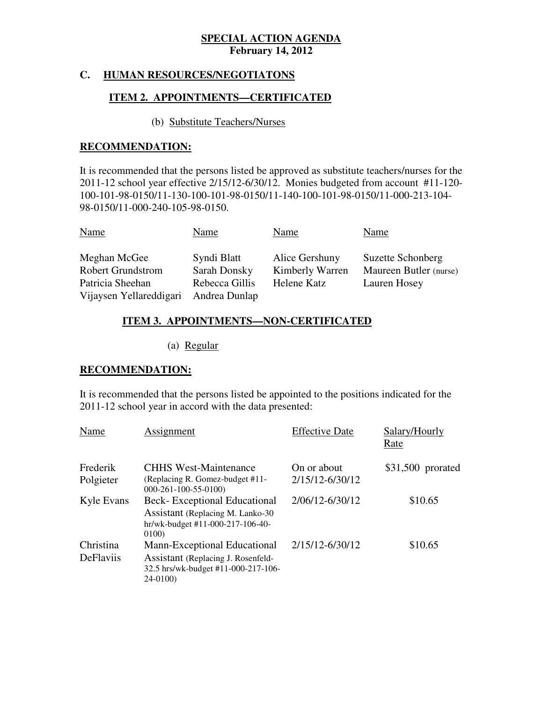# **C. HUMAN RESOURCES/NEGOTIATONS**

# **ITEM 2. APPOINTMENTS—CERTIFICATED**

### (b) Substitute Teachers/Nurses

# **RECOMMENDATION:**

 It is recommended that the persons listed be approved as substitute teachers/nurses for the 2011-12 school year effective 2/15/12-6/30/12. Monies budgeted from account #11-120 100-101-98-0150/11-130-100-101-98-0150/11-140-100-101-98-0150/11-000-213-104 98-0150/11-000-240-105-98-0150.

| <b>Name</b>              | Name           | Name            | Name                   |
|--------------------------|----------------|-----------------|------------------------|
| Meghan McGee             | Syndi Blatt    | Alice Gershuny  | Suzette Schonberg      |
| <b>Robert Grundstrom</b> | Sarah Donsky   | Kimberly Warren | Maureen Butler (nurse) |
| Patricia Sheehan         | Rebecca Gillis | Helene Katz     | Lauren Hosey           |
| Vijaysen Yellareddigari  | Andrea Dunlap  |                 |                        |

# **ITEM 3. APPOINTMENTS—NON-CERTIFICATED**

(a) Regular

### **RECOMMENDATION:**

 It is recommended that the persons listed be appointed to the positions indicated for the 2011-12 school year in accord with the data presented:

| Name                          | Assignment                                                                                                               | <b>Effective Date</b>          | Salary/Hourly<br>Rate |
|-------------------------------|--------------------------------------------------------------------------------------------------------------------------|--------------------------------|-----------------------|
| Frederik<br>Polgieter         | <b>CHHS West-Maintenance</b><br>(Replacing R. Gomez-budget #11-<br>$000-261-100-55-0100$                                 | On or about<br>2/15/12-6/30/12 | \$31,500 prorated     |
| Kyle Evans                    | <b>Beck-Exceptional Educational</b><br>Assistant (Replacing M. Lanko-30)<br>$hr/wk$ -budget #11-000-217-106-40-<br>0100  | 2/06/12-6/30/12                | \$10.65               |
| Christina<br><b>DeFlaviis</b> | Mann-Exceptional Educational<br>Assistant (Replacing J. Rosenfeld-<br>32.5 hrs/wk-budget #11-000-217-106-<br>$24 - 0100$ | 2/15/12-6/30/12                | \$10.65               |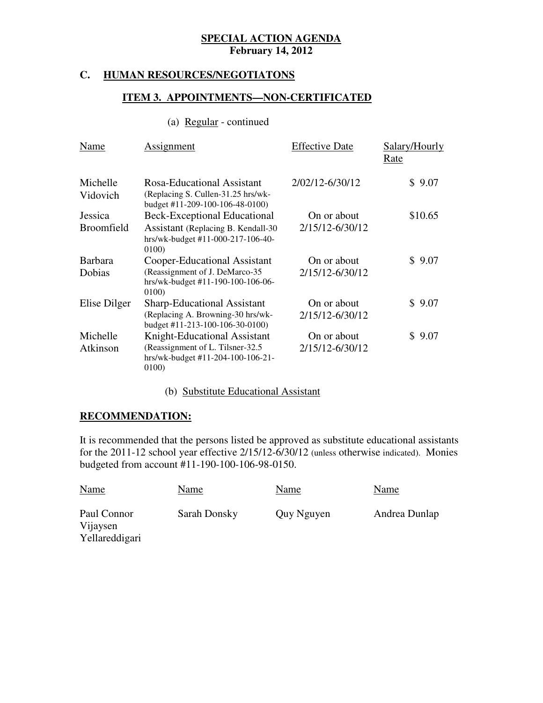### **C. HUMAN RESOURCES/NEGOTIATONS**

### **ITEM 3. APPOINTMENTS—NON-CERTIFICATED**

# (a) Regular - continued

| Name                 | Assignment                                                                                                      | <b>Effective Date</b>          | Salary/Hourly<br>Rate |
|----------------------|-----------------------------------------------------------------------------------------------------------------|--------------------------------|-----------------------|
| Michelle<br>Vidovich | Rosa-Educational Assistant<br>(Replacing S. Cullen-31.25 hrs/wk-<br>budget #11-209-100-106-48-0100)             | 2/02/12-6/30/12                | \$9.07                |
| Jessica              | Beck-Exceptional Educational                                                                                    | On or about                    | \$10.65               |
| <b>Broomfield</b>    | Assistant (Replacing B. Kendall-30<br>hrs/wk-budget #11-000-217-106-40-<br>0100)                                | 2/15/12-6/30/12                |                       |
| <b>Barbara</b>       | Cooper-Educational Assistant                                                                                    | On or about                    | \$9.07                |
| Dobias               | (Reassignment of J. DeMarco-35<br>hrs/wk-budget #11-190-100-106-06-<br>0100)                                    | 2/15/12-6/30/12                |                       |
| Elise Dilger         | <b>Sharp-Educational Assistant</b><br>(Replacing A. Browning-30 hrs/wk-                                         | On or about<br>2/15/12-6/30/12 | \$9.07                |
|                      | budget #11-213-100-106-30-0100)                                                                                 |                                |                       |
| Michelle<br>Atkinson | Knight-Educational Assistant<br>(Reassignment of L. Tilsner-32.5)<br>hrs/wk-budget #11-204-100-106-21-<br>0100) | On or about<br>2/15/12-6/30/12 | 9.07<br>$\mathbb S^-$ |

# (b) Substitute Educational Assistant

# **RECOMMENDATION:**

 It is recommended that the persons listed be approved as substitute educational assistants for the 2011-12 school year effective 2/15/12-6/30/12 (unless otherwise indicated). Monies budgeted from account #11-190-100-106-98-0150.

| <b>Name</b>                               | Name         | Name       | Name          |
|-------------------------------------------|--------------|------------|---------------|
| Paul Connor<br>Vijaysen<br>Yellareddigari | Sarah Donsky | Quy Nguyen | Andrea Dunlap |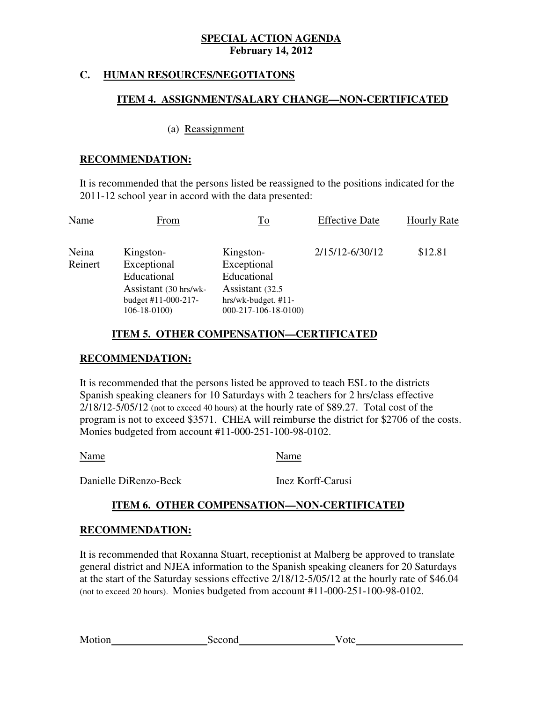# **C. HUMAN RESOURCES/NEGOTIATONS**

### **ITEM 4. ASSIGNMENT/SALARY CHANGE—NON-CERTIFICATED**

### (a) Reassignment

### **RECOMMENDATION:**

 It is recommended that the persons listed be reassigned to the positions indicated for the 2011-12 school year in accord with the data presented:

| Name    | From                                     | $\overline{\text{To}}$                       | <b>Effective Date</b> | <b>Hourly Rate</b> |
|---------|------------------------------------------|----------------------------------------------|-----------------------|--------------------|
| Neina   | Kingston-                                | Kingston-                                    | 2/15/12-6/30/12       | \$12.81            |
| Reinert | Exceptional                              | Exceptional                                  |                       |                    |
|         | Educational                              | Educational                                  |                       |                    |
|         | Assistant (30 hrs/wk-                    | Assistant (32.5)                             |                       |                    |
|         | budget #11-000-217-<br>$106 - 18 - 0100$ | hrs/wk-budget. #11-<br>$000-217-106-18-0100$ |                       |                    |

# **ITEM 5. OTHER COMPENSATION—CERTIFICATED**

# **RECOMMENDATION:**

 It is recommended that the persons listed be approved to teach ESL to the districts Spanish speaking cleaners for 10 Saturdays with 2 teachers for 2 hrs/class effective 2/18/12-5/05/12 (not to exceed 40 hours) at the hourly rate of \$89.27. Total cost of the program is not to exceed \$3571. CHEA will reimburse the district for \$2706 of the costs. Monies budgeted from account #11-000-251-100-98-0102.

Name Name

Danielle DiRenzo-Beck

Inez Korff-Carusi

# **ITEM 6. OTHER COMPENSATION—NON-CERTIFICATED**

# **RECOMMENDATION:**

 It is recommended that Roxanna Stuart, receptionist at Malberg be approved to translate general district and NJEA information to the Spanish speaking cleaners for 20 Saturdays at the start of the Saturday sessions effective 2/18/12-5/05/12 at the hourly rate of \$46.04 (not to exceed 20 hours). Monies budgeted from account #11-000-251-100-98-0102.

Motion

Second Vote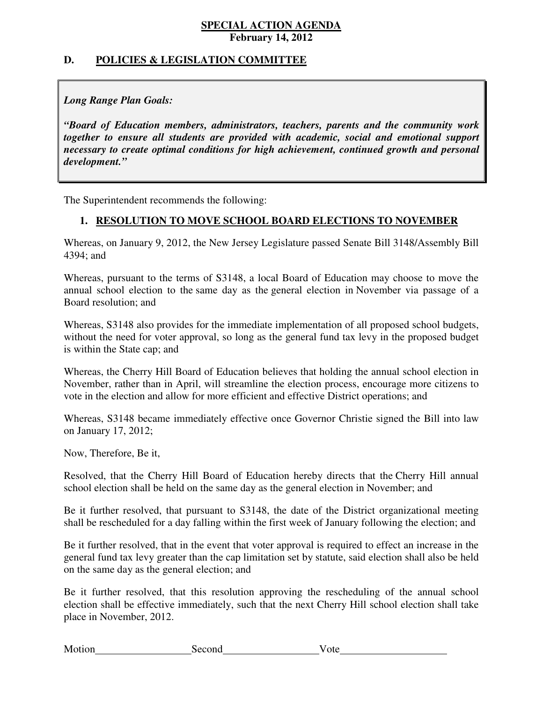# **D. POLICIES & LEGISLATION COMMITTEE**

# *Long Range Plan Goals:*

 *"Board of Education members, administrators, teachers, parents and the community work together to ensure all students are provided with academic, social and emotional support necessary to create optimal conditions for high achievement, continued growth and personal development."* 

The Superintendent recommends the following:

# **1. RESOLUTION TO MOVE SCHOOL BOARD ELECTIONS TO NOVEMBER**

 Whereas, on January 9, 2012, the New Jersey Legislature passed Senate Bill 3148/Assembly Bill 4394; and

 Whereas, pursuant to the terms of S3148, a local Board of Education may choose to move the annual school election to the same day as the general election in November via passage of a Board resolution; and

 Whereas, S3148 also provides for the immediate implementation of all proposed school budgets, without the need for voter approval, so long as the general fund tax levy in the proposed budget is within the State cap; and

 Whereas, the Cherry Hill Board of Education believes that holding the annual school election in November, rather than in April, will streamline the election process, encourage more citizens to vote in the election and allow for more efficient and effective District operations; and

 Whereas, S3148 became immediately effective once Governor Christie signed the Bill into law on January 17, 2012;

Now, Therefore, Be it,

 Resolved, that the Cherry Hill Board of Education hereby directs that the Cherry Hill annual school election shall be held on the same day as the general election in November; and

 Be it further resolved, that pursuant to S3148, the date of the District organizational meeting shall be rescheduled for a day falling within the first week of January following the election; and

 Be it further resolved, that in the event that voter approval is required to effect an increase in the general fund tax levy greater than the cap limitation set by statute, said election shall also be held on the same day as the general election; and

 Be it further resolved, that this resolution approving the rescheduling of the annual school election shall be effective immediately, such that the next Cherry Hill school election shall take place in November, 2012.

| Motion | Second | V ote |
|--------|--------|-------|
|        |        |       |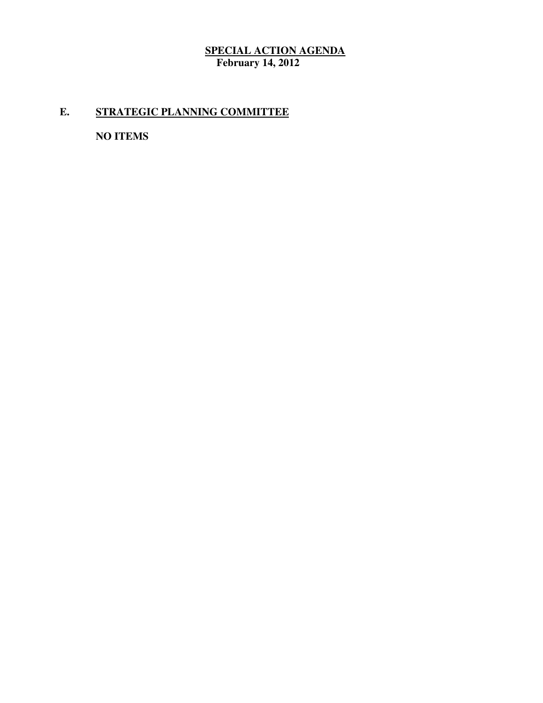# **E. STRATEGIC PLANNING COMMITTEE**

 **NO ITEMS**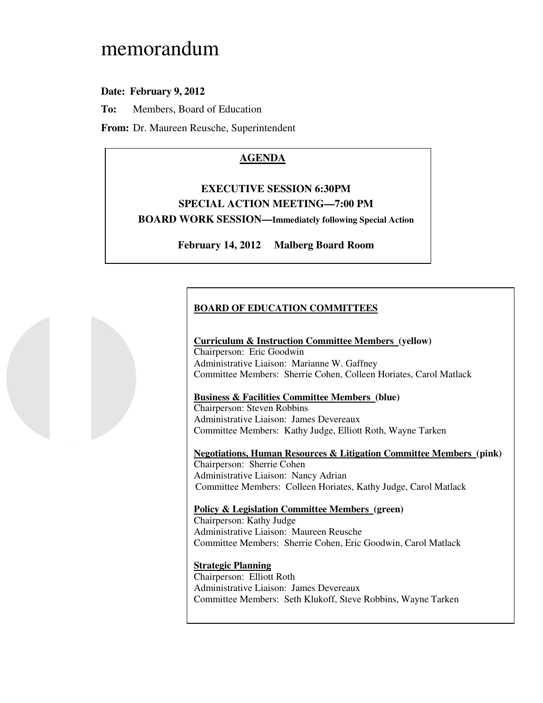# memorandum

# **Date: February 9, 2012**

**To:** Members, Board of Education

**From:** Dr. Maureen Reusche, Superintendent

# **AGENDA**

# **EXECUTIVE SESSION 6:30PM SPECIAL ACTION MEETING—7:00 PM BOARD WORK SESSION—Immediately following Special Action**

**February 14, 2012 Malberg Board Room** 

# **BOARD OF EDUCATION COMMITTEES**

### **Curriculum & Instruction Committee Members (yellow)**

 Chairperson: Eric Goodwin Administrative Liaison: Marianne W. Gaffney Committee Members: Sherrie Cohen, Colleen Horiates, Carol Matlack

### **Business & Facilities Committee Members (blue)**

 Chairperson: Steven Robbins Administrative Liaison: James Devereaux Committee Members: Kathy Judge, Elliott Roth, Wayne Tarken

 **Negotiations, Human Resources & Litigation Committee Members (pink)**  Chairperson: Sherrie Cohen Administrative Liaison: Nancy Adrian Committee Members: Colleen Horiates, Kathy Judge, Carol Matlack

# **Policy & Legislation Committee Members (green)**

 Chairperson: Kathy Judge Administrative Liaison: Maureen Reusche Committee Members: Sherrie Cohen, Eric Goodwin, Carol Matlack

### **Strategic Planning**

 Chairperson: Elliott Roth Administrative Liaison: James Devereaux Committee Members: Seth Klukoff, Steve Robbins, Wayne Tarken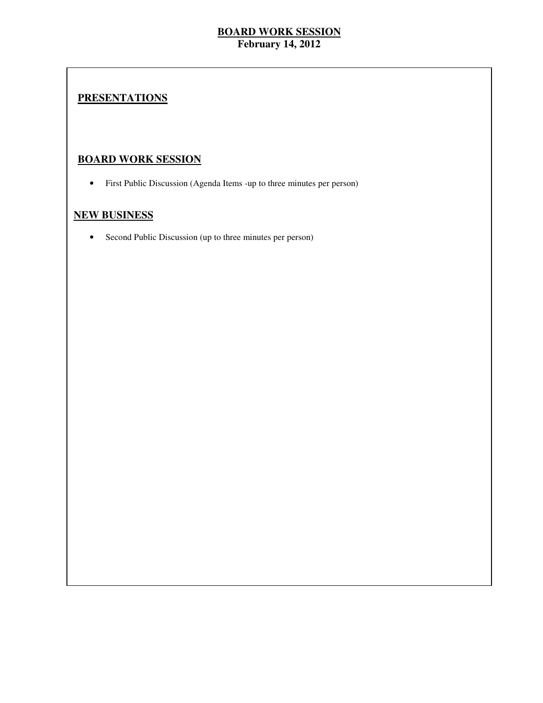# **PRESENTATIONS**

# **BOARD WORK SESSION**

• First Public Discussion (Agenda Items -up to three minutes per person)

# **NEW BUSINESS**

• Second Public Discussion (up to three minutes per person)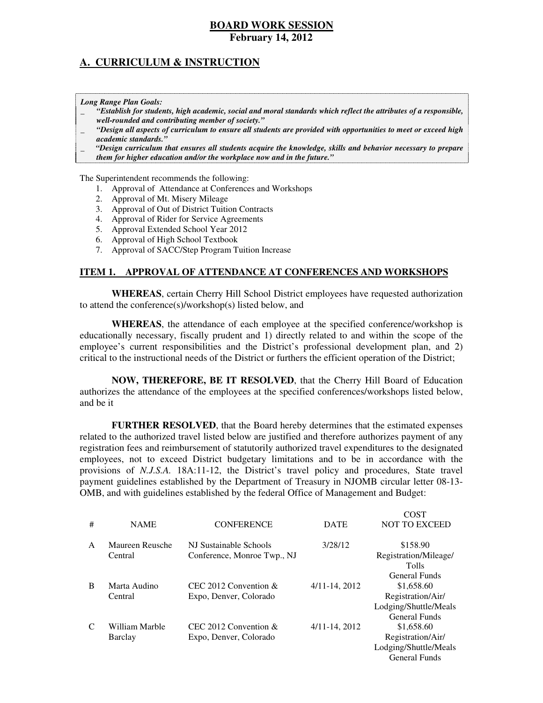# **A. CURRICULUM & INSTRUCTION**

 *Long Range Plan Goals:* 

- \_ *"Establish for students, high academic, social and moral standards which reflect the attributes of a responsible, well-rounded and contributing member of society."*
- \_ *"Design all aspects of curriculum to ensure all students are provided with opportunities to meet or exceed high academic standards."*
- \_ *"Design curriculum that ensures all students acquire the knowledge, skills and behavior necessary to prepare them for higher education and/or the workplace now and in the future."*

The Superintendent recommends the following:

- 1. Approval of Attendance at Conferences and Workshops
- 2. Approval of Mt. Misery Mileage
- 3. Approval of Out of District Tuition Contracts
- 4. Approval of Rider for Service Agreements
- 5. Approval Extended School Year 2012
- 6. Approval of High School Textbook
- 7. Approval of SACC/Step Program Tuition Increase

### **ITEM 1. APPROVAL OF ATTENDANCE AT CONFERENCES AND WORKSHOPS**

 **WHEREAS**, certain Cherry Hill School District employees have requested authorization to attend the conference(s)/workshop(s) listed below, and

 **WHEREAS**, the attendance of each employee at the specified conference/workshop is educationally necessary, fiscally prudent and 1) directly related to and within the scope of the employee's current responsibilities and the District's professional development plan, and 2) critical to the instructional needs of the District or furthers the efficient operation of the District;

 **NOW, THEREFORE, BE IT RESOLVED**, that the Cherry Hill Board of Education authorizes the attendance of the employees at the specified conferences/workshops listed below, and be it

 **FURTHER RESOLVED**, that the Board hereby determines that the estimated expenses related to the authorized travel listed below are justified and therefore authorizes payment of any registration fees and reimbursement of statutorily authorized travel expenditures to the designated employees, not to exceed District budgetary limitations and to be in accordance with the provisions of *N.J.S.A.* 18A:11-12, the District's travel policy and procedures, State travel payment guidelines established by the Department of Treasury in NJOMB circular letter 08-13 OMB, and with guidelines established by the federal Office of Management and Budget:

 $\sim$ 

|              |                 |                             |                    | COST                  |
|--------------|-----------------|-----------------------------|--------------------|-----------------------|
| #            | <b>NAME</b>     | <b>CONFERENCE</b>           | <b>DATE</b>        | <b>NOT TO EXCEED</b>  |
|              |                 |                             |                    |                       |
| $\mathsf{A}$ | Maureen Reusche | NJ Sustainable Schools      | 3/28/12            | \$158.90              |
|              | Central         | Conference, Monroe Twp., NJ |                    | Registration/Mileage/ |
|              |                 |                             |                    | <b>Tolls</b>          |
|              |                 |                             |                    | General Funds         |
| B            | Marta Audino    | CEC 2012 Convention $\&$    | $4/11 - 14$ , 2012 | \$1,658.60            |
|              | Central         | Expo, Denver, Colorado      |                    | Registration/Air/     |
|              |                 |                             |                    | Lodging/Shuttle/Meals |
|              |                 |                             |                    | General Funds         |
| C            | William Marble  | CEC 2012 Convention $&$     | $4/11 - 14$ , 2012 | \$1,658.60            |
|              | Barclay         | Expo, Denver, Colorado      |                    | Registration/Air/     |
|              |                 |                             |                    | Lodging/Shuttle/Meals |
|              |                 |                             |                    | General Funds         |
|              |                 |                             |                    |                       |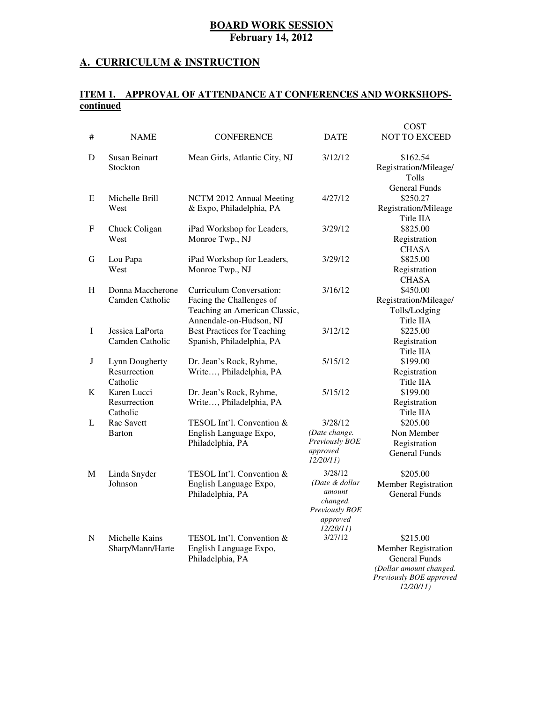### **A. CURRICULUM & INSTRUCTION**

### **ITEM 1. APPROVAL OF ATTENDANCE AT CONFERENCES AND WORKSHOPScontinued**

|   |                                            |                                                                                                                  |                                                                                            | <b>COST</b>                                                                                                   |
|---|--------------------------------------------|------------------------------------------------------------------------------------------------------------------|--------------------------------------------------------------------------------------------|---------------------------------------------------------------------------------------------------------------|
| # | <b>NAME</b>                                | <b>CONFERENCE</b>                                                                                                | <b>DATE</b>                                                                                | <b>NOT TO EXCEED</b>                                                                                          |
| D | <b>Susan Beinart</b><br>Stockton           | Mean Girls, Atlantic City, NJ                                                                                    | 3/12/12                                                                                    | \$162.54<br>Registration/Mileage/<br>Tolls                                                                    |
| E | Michelle Brill<br>West                     | NCTM 2012 Annual Meeting<br>& Expo, Philadelphia, PA                                                             | 4/27/12                                                                                    | <b>General Funds</b><br>\$250.27<br>Registration/Mileage<br>Title IIA                                         |
| F | Chuck Coligan<br>West                      | iPad Workshop for Leaders,<br>Monroe Twp., NJ                                                                    | 3/29/12                                                                                    | \$825.00<br>Registration<br><b>CHASA</b>                                                                      |
| G | Lou Papa<br>West                           | iPad Workshop for Leaders,<br>Monroe Twp., NJ                                                                    | 3/29/12                                                                                    | \$825.00<br>Registration<br><b>CHASA</b>                                                                      |
| H | Donna Maccherone<br>Camden Catholic        | Curriculum Conversation:<br>Facing the Challenges of<br>Teaching an American Classic,<br>Annendale-on-Hudson, NJ | 3/16/12                                                                                    | \$450.00<br>Registration/Mileage/<br>Tolls/Lodging<br>Title IIA                                               |
| I | Jessica LaPorta<br>Camden Catholic         | <b>Best Practices for Teaching</b><br>Spanish, Philadelphia, PA                                                  | 3/12/12                                                                                    | \$225.00<br>Registration<br>Title IIA                                                                         |
| J | Lynn Dougherty<br>Resurrection<br>Catholic | Dr. Jean's Rock, Ryhme,<br>Write, Philadelphia, PA                                                               | 5/15/12                                                                                    | \$199.00<br>Registration<br>Title IIA                                                                         |
| K | Karen Lucci<br>Resurrection<br>Catholic    | Dr. Jean's Rock, Ryhme,<br>Write, Philadelphia, PA                                                               | 5/15/12                                                                                    | \$199.00<br>Registration<br>Title IIA                                                                         |
| L | Rae Savett<br>Barton                       | TESOL Int'l. Convention &<br>English Language Expo,<br>Philadelphia, PA                                          | 3/28/12<br>(Date change.<br>Previously BOE<br>approved<br>12/20/11                         | \$205.00<br>Non Member<br>Registration<br><b>General Funds</b>                                                |
| M | Linda Snyder<br>Johnson                    | TESOL Int'l. Convention &<br>English Language Expo,<br>Philadelphia, PA                                          | 3/28/12<br>(Date & dollar<br>amount<br>changed.<br>Previously BOE<br>approved<br>12/20/11) | \$205.00<br><b>Member Registration</b><br>General Funds                                                       |
| N | Michelle Kains<br>Sharp/Mann/Harte         | TESOL Int'l. Convention &<br>English Language Expo,<br>Philadelphia, PA                                          | 3/27/12                                                                                    | \$215.00<br>Member Registration<br><b>General Funds</b><br>(Dollar amount changed.<br>Previously BOE approved |

*12/20/11)*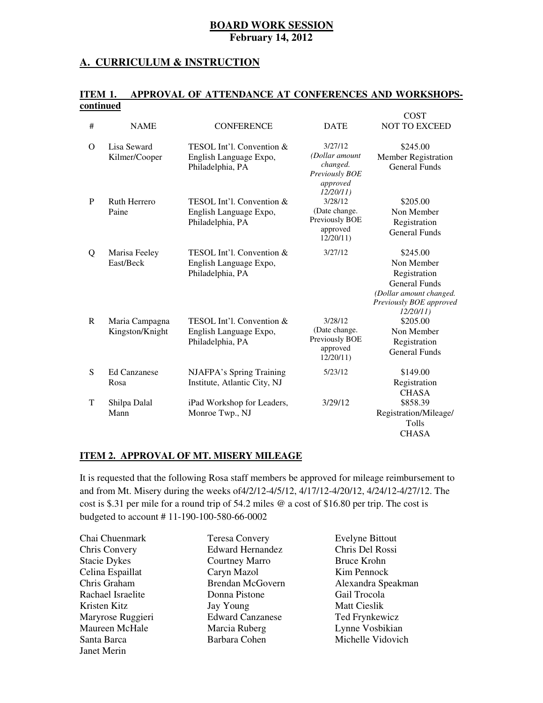### **A. CURRICULUM & INSTRUCTION**

#### **ITEM 1.** APPROVAL OF ATTENDANCE AT CONFERENCES AND WORKSHOPS**continued**

| #            | <b>NAME</b>                       | <b>CONFERENCE</b>                                                       | <b>DATE</b>                                                                    | <b>COST</b><br>NOT TO EXCEED                                                                                                     |
|--------------|-----------------------------------|-------------------------------------------------------------------------|--------------------------------------------------------------------------------|----------------------------------------------------------------------------------------------------------------------------------|
| $\Omega$     | Lisa Seward<br>Kilmer/Cooper      | TESOL Int'l. Convention &<br>English Language Expo,<br>Philadelphia, PA | 3/27/12<br>(Dollar amount<br>changed.<br>Previously BOE<br>approved            | \$245.00<br>Member Registration<br><b>General Funds</b>                                                                          |
| P            | Ruth Herrero<br>Paine             | TESOL Int'l. Convention &<br>English Language Expo,<br>Philadelphia, PA | 12/20/11<br>3/28/12<br>(Date change.<br>Previously BOE<br>approved<br>12/20/11 | \$205.00<br>Non Member<br>Registration<br><b>General Funds</b>                                                                   |
| Q            | Marisa Feeley<br>East/Beck        | TESOL Int'l. Convention &<br>English Language Expo,<br>Philadelphia, PA | 3/27/12                                                                        | \$245.00<br>Non Member<br>Registration<br><b>General Funds</b><br>(Dollar amount changed.<br>Previously BOE approved<br>12/20/11 |
| $\mathbf{R}$ | Maria Campagna<br>Kingston/Knight | TESOL Int'l. Convention &<br>English Language Expo,<br>Philadelphia, PA | 3/28/12<br>(Date change.<br>Previously BOE<br>approved<br>12/20/11             | \$205.00<br>Non Member<br>Registration<br><b>General Funds</b>                                                                   |
| S            | <b>Ed Canzanese</b><br>Rosa       | NJAFPA's Spring Training<br>Institute, Atlantic City, NJ                | 5/23/12                                                                        | \$149.00<br>Registration<br><b>CHASA</b>                                                                                         |
| T            | Shilpa Dalal<br>Mann              | iPad Workshop for Leaders,<br>Monroe Twp., NJ                           | 3/29/12                                                                        | \$858.39<br>Registration/Mileage/<br>Tolls<br><b>CHASA</b>                                                                       |

### **ITEM 2. APPROVAL OF MT. MISERY MILEAGE**

 It is requested that the following Rosa staff members be approved for mileage reimbursement to and from Mt. Misery during the weeks of4/2/12-4/5/12, 4/17/12-4/20/12, 4/24/12-4/27/12. The cost is \$.31 per mile for a round trip of 54.2 miles @ a cost of \$16.80 per trip. The cost is budgeted to account # 11-190-100-580-66-0002

| Chai Chuenmark      | <b>Teresa Convery</b>   | <b>Evelyne Bittout</b> |
|---------------------|-------------------------|------------------------|
| Chris Convery       | <b>Edward Hernandez</b> | Chris Del Rossi        |
| <b>Stacie Dykes</b> | Courtney Marro          | <b>Bruce Krohn</b>     |
| Celina Espaillat    | Caryn Mazol             | Kim Pennock            |
| Chris Graham        | <b>Brendan McGovern</b> | Alexandra Speakman     |
| Rachael Israelite   | Donna Pistone           | Gail Trocola           |
| Kristen Kitz        | Jay Young               | Matt Cieslik           |
| Maryrose Ruggieri   | <b>Edward Canzanese</b> | Ted Frynkewicz         |
| Maureen McHale      | Marcia Ruberg           | Lynne Vosbikian        |
| Santa Barca         | Barbara Cohen           | Michelle Vidovich      |
| Janet Merin         |                         |                        |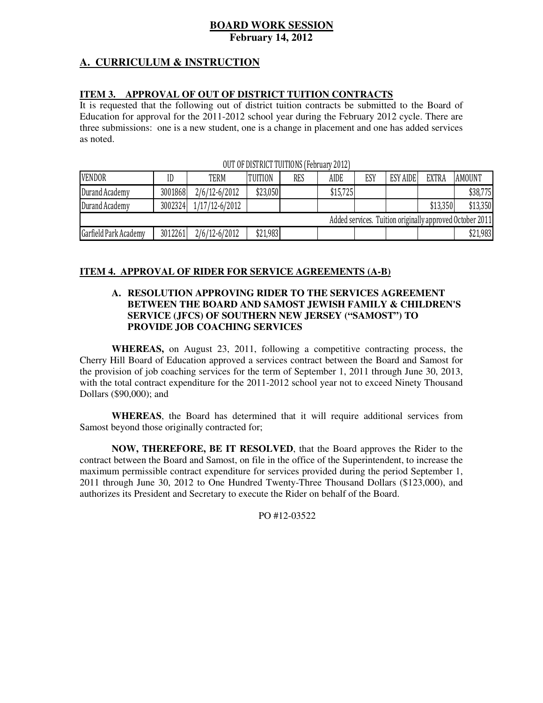# **BOARD WORK SESSION**

 **February 14, 2012** 

# **A. CURRICULUM & INSTRUCTION**

### **ITEM 3. APPROVAL OF OUT OF DISTRICT TUITION CONTRACTS**

 It is requested that the following out of district tuition contracts be submitted to the Board of Education for approval for the 2011-2012 school year during the February 2012 cycle. There are three submissions: one is a new student, one is a change in placement and one has added services as noted.

| <b>VENDOR</b>         | IC      | TERM           | <b>TUITION</b> | <b>RES</b> | <b>AIDE</b> | ESY | <b>ESY AIDE</b> | <b>EXTRA</b> | <b>AMOUNT</b>                                            |
|-----------------------|---------|----------------|----------------|------------|-------------|-----|-----------------|--------------|----------------------------------------------------------|
| Durand Academy        | 3001868 | 2/6/12-6/2012  | \$23,050       |            | \$15,725    |     |                 |              | \$38,775                                                 |
| Durand Academy        | 3002324 | 1/17/12-6/2012 |                |            |             |     |                 | \$13,350     | \$13,350                                                 |
|                       |         |                |                |            |             |     |                 |              | Added services. Tuition originally approved October 2011 |
| Garfield Park Academy | 3012261 | 2/6/12-6/2012  | \$21,983       |            |             |     |                 |              | \$21,983                                                 |

OUT OF DISTRICT TUITIONS (February 2012)

### **ITEM 4. APPROVAL OF RIDER FOR SERVICE AGREEMENTS (A-B)**

### **A. RESOLUTION APPROVING RIDER TO THE SERVICES AGREEMENT BETWEEN THE BOARD AND SAMOST JEWISH FAMILY & CHILDREN'S SERVICE (JFCS) OF SOUTHERN NEW JERSEY ("SAMOST") TO PROVIDE JOB COACHING SERVICES**

 **WHEREAS,** on August 23, 2011, following a competitive contracting process, the Cherry Hill Board of Education approved a services contract between the Board and Samost for the provision of job coaching services for the term of September 1, 2011 through June 30, 2013, with the total contract expenditure for the 2011-2012 school year not to exceed Ninety Thousand Dollars (\$90,000); and

 **WHEREAS**, the Board has determined that it will require additional services from Samost beyond those originally contracted for;

 **NOW, THEREFORE, BE IT RESOLVED**, that the Board approves the Rider to the contract between the Board and Samost, on file in the office of the Superintendent, to increase the maximum permissible contract expenditure for services provided during the period September 1, 2011 through June 30, 2012 to One Hundred Twenty-Three Thousand Dollars (\$123,000), and authorizes its President and Secretary to execute the Rider on behalf of the Board.

PO #12-03522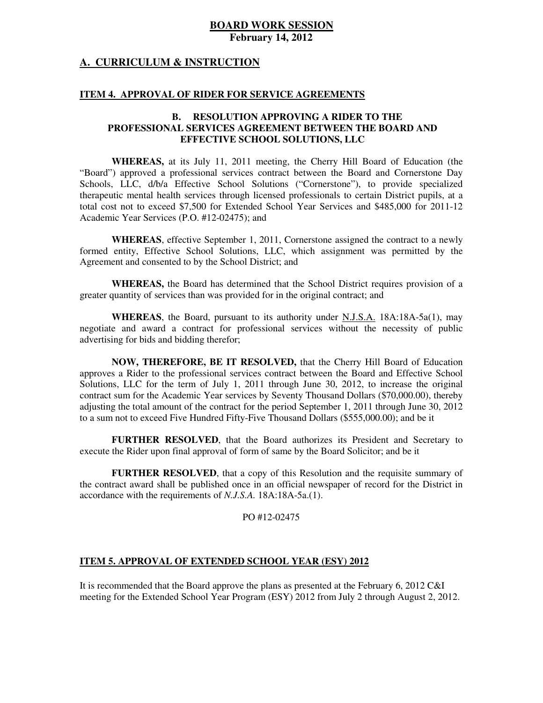### **A. CURRICULUM & INSTRUCTION**

### **ITEM 4. APPROVAL OF RIDER FOR SERVICE AGREEMENTS**

### **B. RESOLUTION APPROVING A RIDER TO THE PROFESSIONAL SERVICES AGREEMENT BETWEEN THE BOARD AND EFFECTIVE SCHOOL SOLUTIONS, LLC**

 **WHEREAS,** at its July 11, 2011 meeting, the Cherry Hill Board of Education (the "Board") approved a professional services contract between the Board and Cornerstone Day Schools, LLC, d/b/a Effective School Solutions ("Cornerstone"), to provide specialized therapeutic mental health services through licensed professionals to certain District pupils, at a total cost not to exceed \$7,500 for Extended School Year Services and \$485,000 for 2011-12 Academic Year Services (P.O. #12-02475); and

 **WHEREAS**, effective September 1, 2011, Cornerstone assigned the contract to a newly formed entity, Effective School Solutions, LLC, which assignment was permitted by the Agreement and consented to by the School District; and

WHEREAS, the Board has determined that the School District requires provision of a greater quantity of services than was provided for in the original contract; and

 **WHEREAS**, the Board, pursuant to its authority under N.J.S.A. 18A:18A-5a(1), may negotiate and award a contract for professional services without the necessity of public advertising for bids and bidding therefor;

 **NOW, THEREFORE, BE IT RESOLVED,** that the Cherry Hill Board of Education approves a Rider to the professional services contract between the Board and Effective School Solutions, LLC for the term of July 1, 2011 through June 30, 2012, to increase the original contract sum for the Academic Year services by Seventy Thousand Dollars (\$70,000.00), thereby adjusting the total amount of the contract for the period September 1, 2011 through June 30, 2012 to a sum not to exceed Five Hundred Fifty-Five Thousand Dollars (\$555,000.00); and be it

 **FURTHER RESOLVED**, that the Board authorizes its President and Secretary to execute the Rider upon final approval of form of same by the Board Solicitor; and be it

 **FURTHER RESOLVED**, that a copy of this Resolution and the requisite summary of the contract award shall be published once in an official newspaper of record for the District in accordance with the requirements of *N.J.S.A.* 18A:18A-5a.(1).

### PO #12-02475

### **ITEM 5. APPROVAL OF EXTENDED SCHOOL YEAR (ESY) 2012**

 It is recommended that the Board approve the plans as presented at the February 6, 2012 C&I meeting for the Extended School Year Program (ESY) 2012 from July 2 through August 2, 2012.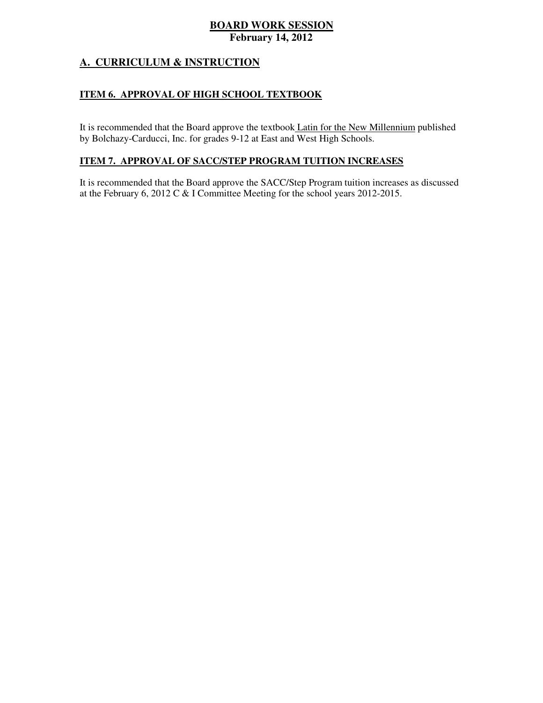# **A. CURRICULUM & INSTRUCTION**

# **ITEM 6. APPROVAL OF HIGH SCHOOL TEXTBOOK**

It is recommended that the Board approve the textbook *Latin for the New Millennium* published by Bolchazy-Carducci, Inc. for grades 9-12 at East and West High Schools.

### **ITEM 7. APPROVAL OF SACC/STEP PROGRAM TUITION INCREASES**

 It is recommended that the Board approve the SACC/Step Program tuition increases as discussed at the February 6, 2012 C & I Committee Meeting for the school years 2012-2015.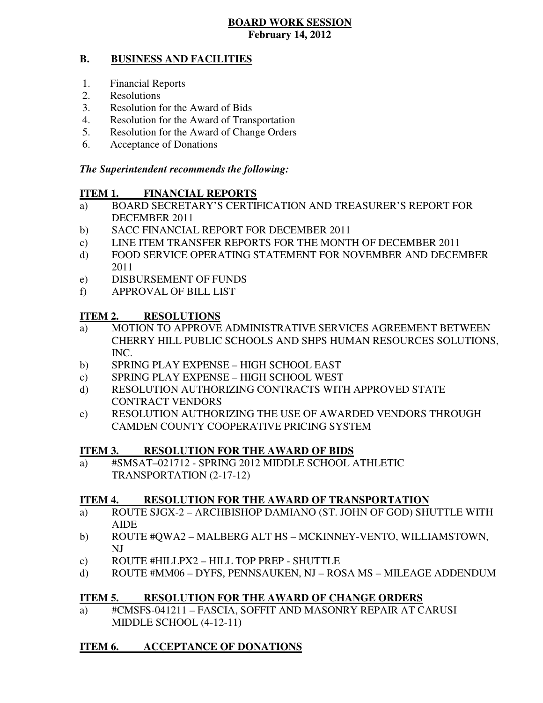#### **B. BUSINESS AND FACILITIES**

- 1. Financial Reports
- 2. Resolutions
- 3. Resolution for the Award of Bids
- 4. Resolution for the Award of Transportation
- 5. Resolution for the Award of Change Orders
- 6. Acceptance of Donations

# *The Superintendent recommends the following:*

#### **ITEM 1. FINANCIAL REPORTS**

- a) BOARD SECRETARY'S CERTIFICATION AND TREASURER'S REPORT FOR DECEMBER 2011
- b) SACC FINANCIAL REPORT FOR DECEMBER 2011
- $\mathbf{c})$ LINE ITEM TRANSFER REPORTS FOR THE MONTH OF DECEMBER 2011
- $\mathbf{d}$ FOOD SERVICE OPERATING STATEMENT FOR NOVEMBER AND DECEMBER 2011
- e) DISBURSEMENT OF FUNDS
- f) APPROVAL OF BILL LIST

#### **ITEM 2. RESOLUTIONS**

- a) MOTION TO APPROVE ADMINISTRATIVE SERVICES AGREEMENT BETWEEN CHERRY HILL PUBLIC SCHOOLS AND SHPS HUMAN RESOURCES SOLUTIONS, INC.
- b) SPRING PLAY EXPENSE HIGH SCHOOL EAST
- c) SPRING PLAY EXPENSE HIGH SCHOOL WEST
- d) RESOLUTION AUTHORIZING CONTRACTS WITH APPROVED STATE CONTRACT VENDORS
- e) RESOLUTION AUTHORIZING THE USE OF AWARDED VENDORS THROUGH CAMDEN COUNTY COOPERATIVE PRICING SYSTEM

#### **ITEM 3. RESOLUTION FOR THE AWARD OF BIDS**

 a) #SMSAT–021712 - SPRING 2012 MIDDLE SCHOOL ATHLETIC TRANSPORTATION (2-17-12)

#### **ITEM 4. RESOLUTION FOR THE AWARD OF TRANSPORTATION**

- a) ROUTE SJGX-2 ARCHBISHOP DAMIANO (ST. JOHN OF GOD) SHUTTLE WITH AIDE
- b) ROUTE #QWA2 MALBERG ALT HS MCKINNEY-VENTO, WILLIAMSTOWN, NJ
- c) ROUTE #HILLPX2 HILL TOP PREP SHUTTLE
- d) ROUTE #MM06 DYFS, PENNSAUKEN, NJ ROSA MS MILEAGE ADDENDUM

#### **ITEM 5. RESOLUTION FOR THE AWARD OF CHANGE ORDERS**

 a) #CMSFS-041211 – FASCIA, SOFFIT AND MASONRY REPAIR AT CARUSI MIDDLE SCHOOL (4-12-11)

#### **ITEM 6. ACCEPTANCE OF DONATIONS**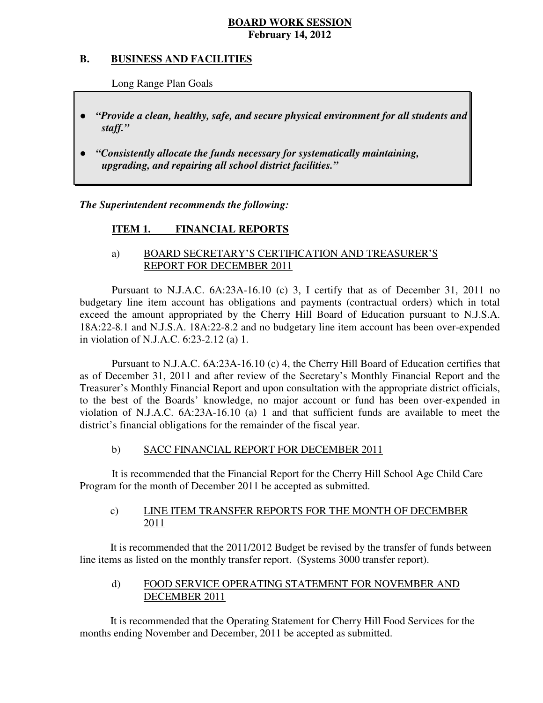#### **B. B. BUSINESS AND FACILITIES**

Long Range Plan Goals

- *"Provide a clean, healthy, safe, and secure physical environment for all students and staff."*
- *upgrading, and repairing all school district facilities."*  ● *"Consistently allocate the funds necessary for systematically maintaining,*

 *The Superintendent recommends the following:* 

#### **ITEM 1. FINANCIAL REPORTS**

# a) BOARD SECRETARY'S CERTIFICATION AND TREASURER'S REPORT FOR DECEMBER 2011

 Pursuant to N.J.A.C. 6A:23A-16.10 (c) 3, I certify that as of December 31, 2011 no budgetary line item account has obligations and payments (contractual orders) which in total exceed the amount appropriated by the Cherry Hill Board of Education pursuant to N.J.S.A. 18A:22-8.1 and N.J.S.A. 18A:22-8.2 and no budgetary line item account has been over-expended in violation of N.J.A.C. 6:23-2.12 (a) 1.

 Pursuant to N.J.A.C. 6A:23A-16.10 (c) 4, the Cherry Hill Board of Education certifies that as of December 31, 2011 and after review of the Secretary's Monthly Financial Report and the Treasurer's Monthly Financial Report and upon consultation with the appropriate district officials, to the best of the Boards' knowledge, no major account or fund has been over-expended in violation of N.J.A.C. 6A:23A-16.10 (a) 1 and that sufficient funds are available to meet the district's financial obligations for the remainder of the fiscal year.

#### $b)$ SACC FINANCIAL REPORT FOR DECEMBER 2011

 It is recommended that the Financial Report for the Cherry Hill School Age Child Care Program for the month of December 2011 be accepted as submitted.

#### $\mathbf{c}$ ) LINE ITEM TRANSFER REPORTS FOR THE MONTH OF DECEMBER 2011

 It is recommended that the 2011/2012 Budget be revised by the transfer of funds between line items as listed on the monthly transfer report. (Systems 3000 transfer report).

#### $\mathbf{d}$  DECEMBER 2011 FOOD SERVICE OPERATING STATEMENT FOR NOVEMBER AND

 It is recommended that the Operating Statement for Cherry Hill Food Services for the months ending November and December, 2011 be accepted as submitted.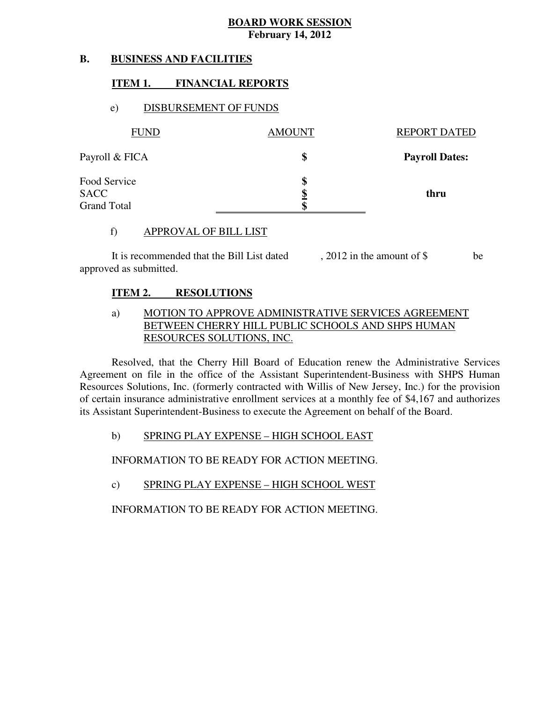#### **B. B. BUSINESS AND FACILITIES**

### **ITEM 1. FINANCIAL REPORTS**

# e) DISBURSEMENT OF FUNDS

| <b>FUND</b>                                       | <b>AMOUNT</b> | <b>REPORT DATED</b>   |
|---------------------------------------------------|---------------|-----------------------|
| Payroll & FICA                                    | \$            | <b>Payroll Dates:</b> |
| Food Service<br><b>SACC</b><br><b>Grand Total</b> | \$<br>œ       | thru                  |

### f) APPROVAL OF BILL LIST

 approved as submitted. It is recommended that the Bill List dated , 2012 in the amount of \$ be

#### **ITEM 2. RESOLUTIONS**

# a) MOTION TO APPROVE ADMINISTRATIVE SERVICES AGREEMENT BETWEEN CHERRY HILL PUBLIC SCHOOLS AND SHPS HUMAN RESOURCES SOLUTIONS, INC.

 Resolved, that the Cherry Hill Board of Education renew the Administrative Services Agreement on file in the office of the Assistant Superintendent-Business with SHPS Human Resources Solutions, Inc. (formerly contracted with Willis of New Jersey, Inc.) for the provision of certain insurance administrative enrollment services at a monthly fee of \$4,167 and authorizes its Assistant Superintendent-Business to execute the Agreement on behalf of the Board.

### b) SPRING PLAY EXPENSE – HIGH SCHOOL EAST

INFORMATION TO BE READY FOR ACTION MEETING.

# c) SPRING PLAY EXPENSE – HIGH SCHOOL WEST

INFORMATION TO BE READY FOR ACTION MEETING.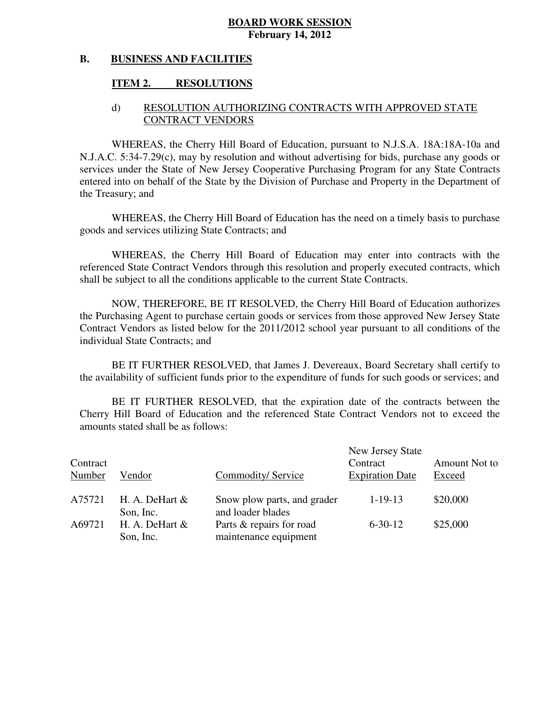#### **B. BUSINESS AND FACILITIES**

### **ITEM 2. RESOLUTIONS**

# d) RESOLUTION AUTHORIZING CONTRACTS WITH APPROVED STATE CONTRACT VENDORS

 WHEREAS, the Cherry Hill Board of Education, pursuant to N.J.S.A. 18A:18A-10a and N.J.A.C. 5:34-7.29(c), may by resolution and without advertising for bids, purchase any goods or services under the State of New Jersey Cooperative Purchasing Program for any State Contracts entered into on behalf of the State by the Division of Purchase and Property in the Department of the Treasury; and

 WHEREAS, the Cherry Hill Board of Education has the need on a timely basis to purchase goods and services utilizing State Contracts; and

 WHEREAS, the Cherry Hill Board of Education may enter into contracts with the referenced State Contract Vendors through this resolution and properly executed contracts, which shall be subject to all the conditions applicable to the current State Contracts.

 NOW, THEREFORE, BE IT RESOLVED, the Cherry Hill Board of Education authorizes the Purchasing Agent to purchase certain goods or services from those approved New Jersey State Contract Vendors as listed below for the 2011/2012 school year pursuant to all conditions of the individual State Contracts; and

 the availability of sufficient funds prior to the expenditure of funds for such goods or services; and BE IT FURTHER RESOLVED, that James J. Devereaux, Board Secretary shall certify to

 Cherry Hill Board of Education and the referenced State Contract Vendors not to exceed the amounts stated shall be as follows: BE IT FURTHER RESOLVED, that the expiration date of the contracts between the

| Contract<br>Number | Vendor                         | Commodity/Service                                 | New Jersey State<br>Contract<br><b>Expiration Date</b> | Amount Not to<br>Exceed |
|--------------------|--------------------------------|---------------------------------------------------|--------------------------------------------------------|-------------------------|
| A75721             | H. A. DeHart $\&$<br>Son, Inc. | Snow plow parts, and grader<br>and loader blades  | $1 - 19 - 13$                                          | \$20,000                |
| A69721             | H. A. DeHart $\&$<br>Son, Inc. | Parts & repairs for road<br>maintenance equipment | $6 - 30 - 12$                                          | \$25,000                |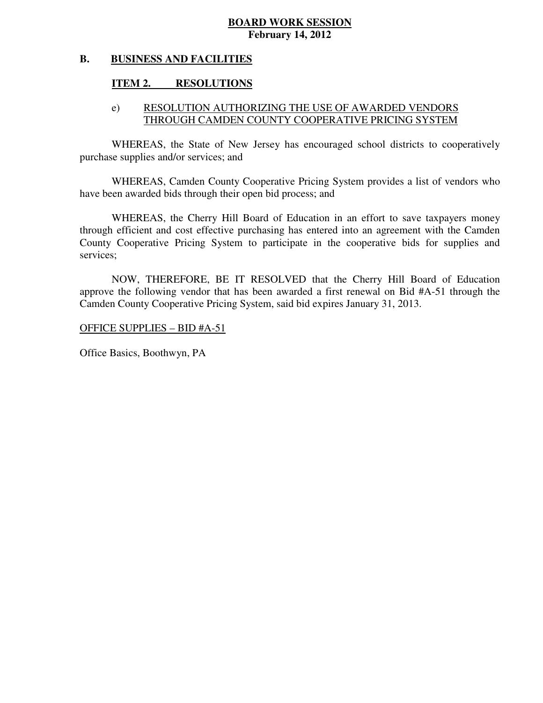#### **B. BUSINESS AND FACILITIES**

## **ITEM 2. RESOLUTIONS**

# e) RESOLUTION AUTHORIZING THE USE OF AWARDED VENDORS THROUGH CAMDEN COUNTY COOPERATIVE PRICING SYSTEM

 WHEREAS, the State of New Jersey has encouraged school districts to cooperatively purchase supplies and/or services; and

 WHEREAS, Camden County Cooperative Pricing System provides a list of vendors who have been awarded bids through their open bid process; and

 WHEREAS, the Cherry Hill Board of Education in an effort to save taxpayers money through efficient and cost effective purchasing has entered into an agreement with the Camden County Cooperative Pricing System to participate in the cooperative bids for supplies and services;

 NOW, THEREFORE, BE IT RESOLVED that the Cherry Hill Board of Education approve the following vendor that has been awarded a first renewal on Bid #A-51 through the Camden County Cooperative Pricing System, said bid expires January 31, 2013.

OFFICE SUPPLIES – BID #A-51

Office Basics, Boothwyn, PA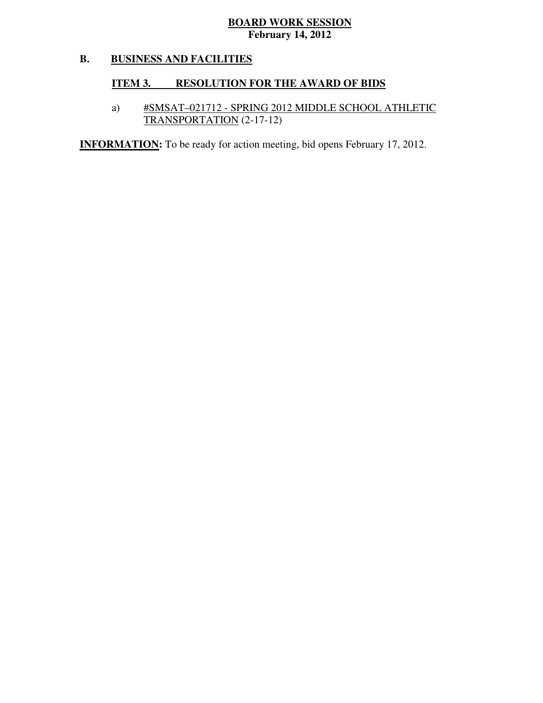#### **B. BUSINESS AND FACILITIES**

# **ITEM 3. RESOLUTION FOR THE AWARD OF BIDS**

# a) #SMSAT–021712 - SPRING 2012 MIDDLE SCHOOL ATHLETIC TRANSPORTATION (2-17-12)

**INFORMATION:** To be ready for action meeting, bid opens February 17, 2012.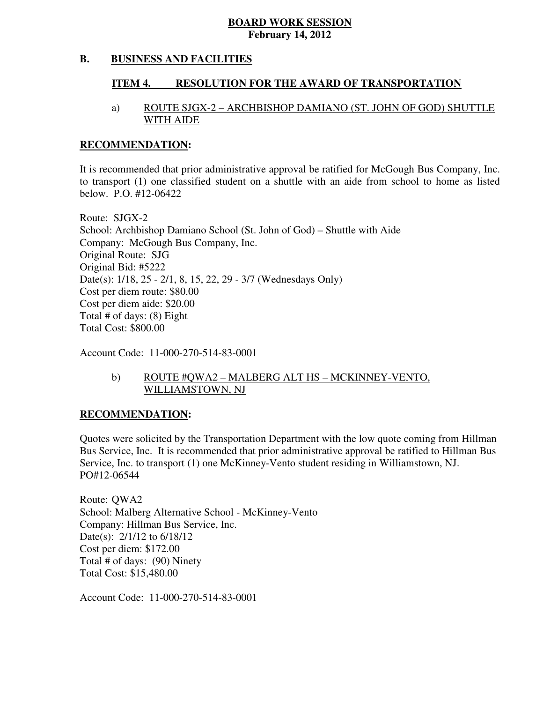#### **B. BUSINESS AND FACILITIES**

#### **ITEM 4. RESOLUTION FOR THE AWARD OF TRANSPORTATION**

# a) ROUTE SJGX-2 – ARCHBISHOP DAMIANO (ST. JOHN OF GOD) SHUTTLE WITH AIDE

### **RECOMMENDATION:**

 It is recommended that prior administrative approval be ratified for McGough Bus Company, Inc. to transport (1) one classified student on a shuttle with an aide from school to home as listed below. P.O. #12-06422

 Route: SJGX-2 School: Archbishop Damiano School (St. John of God) – Shuttle with Aide Company: McGough Bus Company, Inc. Original Route: SJG Original Bid: #5222 Date(s): 1/18, 25 - 2/1, 8, 15, 22, 29 - 3/7 (Wednesdays Only) Cost per diem route: \$80.00 Cost per diem aide: \$20.00 Total # of days: (8) Eight Total Cost: \$800.00

Account Code: 11-000-270-514-83-0001

# b) ROUTE #QWA2 – MALBERG ALT HS – MCKINNEY-VENTO, WILLIAMSTOWN, NJ

### **RECOMMENDATION:**

 Quotes were solicited by the Transportation Department with the low quote coming from Hillman Bus Service, Inc. It is recommended that prior administrative approval be ratified to Hillman Bus Service, Inc. to transport (1) one McKinney-Vento student residing in Williamstown, NJ. PO#12-06544

 Route: QWA2 School: Malberg Alternative School - McKinney-Vento Company: Hillman Bus Service, Inc. Date(s): 2/1/12 to 6/18/12 Cost per diem: \$172.00 Total # of days: (90) Ninety Total Cost: \$15,480.00

Account Code: 11-000-270-514-83-0001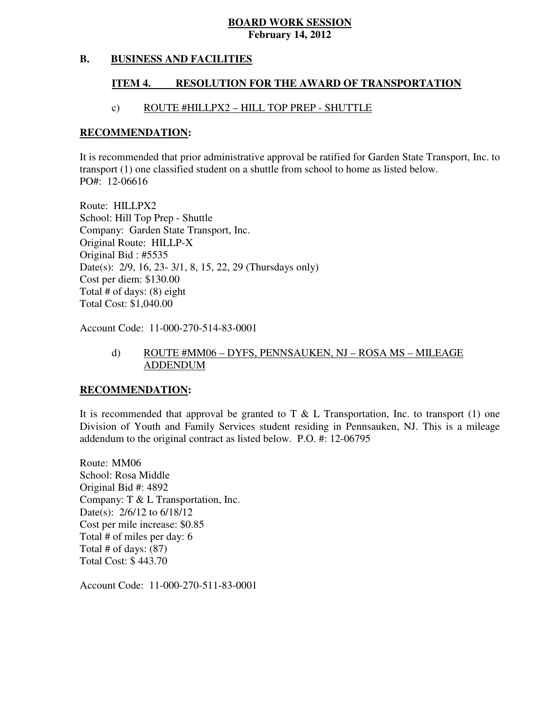#### **B. BUSINESS AND FACILITIES**

#### **ITEM 4. RESOLUTION FOR THE AWARD OF TRANSPORTATION**

### c) ROUTE #HILLPX2 – HILL TOP PREP - SHUTTLE

### **RECOMMENDATION:**

 It is recommended that prior administrative approval be ratified for Garden State Transport, Inc. to transport (1) one classified student on a shuttle from school to home as listed below. PO#: 12-06616

 Route: HILLPX2 School: Hill Top Prep - Shuttle Company: Garden State Transport, Inc. Original Route: HILLP-X Original Bid : #5535 Date(s): 2/9, 16, 23- 3/1, 8, 15, 22, 29 (Thursdays only) Cost per diem: \$130.00 Total # of days: (8) eight Total Cost: \$1,040.00

Account Code: 11-000-270-514-83-0001

# d) ROUTE #MM06 – DYFS, PENNSAUKEN, NJ – ROSA MS – MILEAGE ADDENDUM

### **RECOMMENDATION:**

It is recommended that approval be granted to T  $\&$  L Transportation, Inc. to transport (1) one Division of Youth and Family Services student residing in Pennsauken, NJ. This is a mileage addendum to the original contract as listed below. P.O. #: 12-06795

 Route: MM06 School: Rosa Middle Original Bid #: 4892 Company: T & L Transportation, Inc. Date(s): 2/6/12 to 6/18/12 Cost per mile increase: \$0.85 Total # of miles per day: 6 Total # of days: (87) Total Cost: \$ 443.70

Account Code: 11-000-270-511-83-0001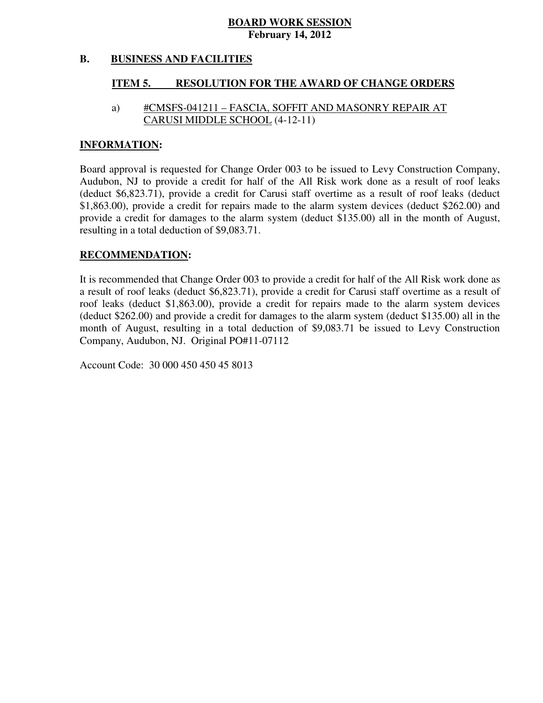#### **B. BUSINESS AND FACILITIES**

#### **ITEM 5. RESOLUTION FOR THE AWARD OF CHANGE ORDERS**

# CARUSI MIDDLE SCHOOL (4-12-11) a) #CMSFS-041211 – FASCIA, SOFFIT AND MASONRY REPAIR AT

### **INFORMATION:**

 Board approval is requested for Change Order 003 to be issued to Levy Construction Company, Audubon, NJ to provide a credit for half of the All Risk work done as a result of roof leaks (deduct \$6,823.71), provide a credit for Carusi staff overtime as a result of roof leaks (deduct \$1,863.00), provide a credit for repairs made to the alarm system devices (deduct \$262.00) and provide a credit for damages to the alarm system (deduct \$135.00) all in the month of August, resulting in a total deduction of \$9,083.71.

### **RECOMMENDATION:**

 It is recommended that Change Order 003 to provide a credit for half of the All Risk work done as a result of roof leaks (deduct \$6,823.71), provide a credit for Carusi staff overtime as a result of roof leaks (deduct \$1,863.00), provide a credit for repairs made to the alarm system devices (deduct \$262.00) and provide a credit for damages to the alarm system (deduct \$135.00) all in the month of August, resulting in a total deduction of \$9,083.71 be issued to Levy Construction Company, Audubon, NJ. Original PO#11-07112

Account Code: 30 000 450 450 45 8013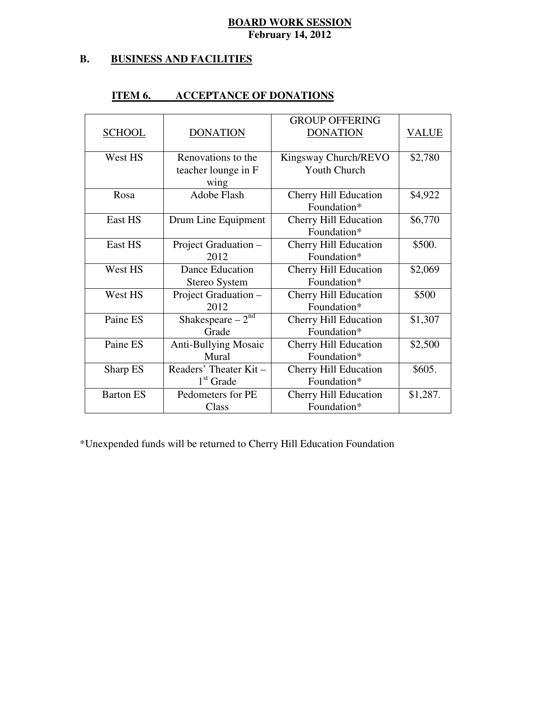#### **B. B. BUSINESS AND FACILITIES**

|                  |                             | <b>GROUP OFFERING</b>        |          |
|------------------|-----------------------------|------------------------------|----------|
| <b>SCHOOL</b>    | <b>DONATION</b>             | <b>DONATION</b>              | VALUE    |
|                  |                             |                              |          |
| West HS          | Renovations to the          | Kingsway Church/REVO         | \$2,780  |
|                  | teacher lounge in F         | <b>Youth Church</b>          |          |
|                  | wing                        |                              |          |
| Rosa             | <b>Adobe Flash</b>          | <b>Cherry Hill Education</b> | \$4,922  |
|                  |                             | Foundation*                  |          |
| East HS          | Drum Line Equipment         | <b>Cherry Hill Education</b> | \$6,770  |
|                  |                             | Foundation*                  |          |
| East HS          | Project Graduation -        | <b>Cherry Hill Education</b> | \$500.   |
|                  | 2012                        | Foundation*                  |          |
| West HS          | <b>Dance Education</b>      | <b>Cherry Hill Education</b> | \$2,069  |
|                  | Stereo System               | Foundation*                  |          |
| West HS          | Project Graduation -        | <b>Cherry Hill Education</b> | \$500    |
|                  | 2012                        | Foundation*                  |          |
| Paine ES         | Shakespeare $-2^{nd}$       | <b>Cherry Hill Education</b> | \$1,307  |
|                  | Grade                       | Foundation*                  |          |
| Paine ES         | <b>Anti-Bullying Mosaic</b> | <b>Cherry Hill Education</b> | \$2,500  |
|                  | Mural                       | Foundation*                  |          |
| Sharp ES         | Readers' Theater Kit -      | Cherry Hill Education        | \$605.   |
|                  | $1st$ Grade                 | Foundation*                  |          |
| <b>Barton ES</b> | Pedometers for PE           | <b>Cherry Hill Education</b> | \$1,287. |
|                  | Class                       | Foundation*                  |          |

#### **ITEM 6. ITEM 6. ACCEPTANCE OF DONATIONS**

\*Unexpended funds will be returned to Cherry Hill Education Foundation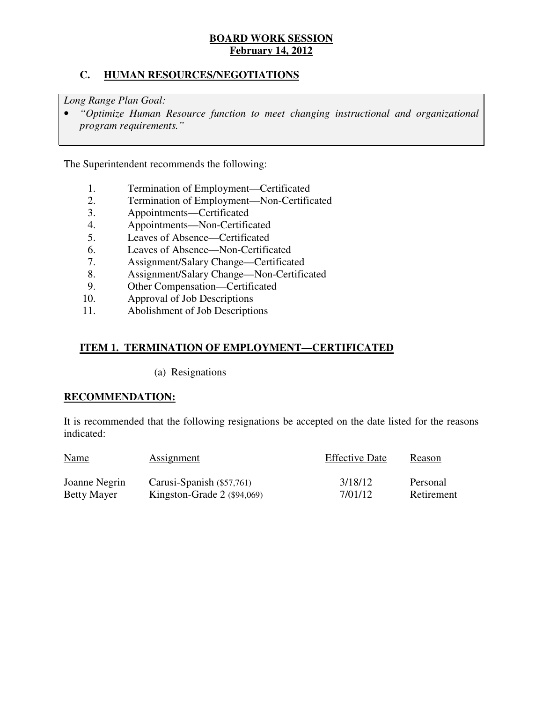# **C. HUMAN RESOURCES/NEGOTIATIONS**

 *Long Range Plan Goal:* 

**•** "Optimize Human Resource function to meet changing instructional and organizational *program requirements."* 

The Superintendent recommends the following:

- 1. Termination of Employment—Certificated<br>2. Termination of Employment—Non-Certific
- 2. Termination of Employment—Non-Certificated
- 3. Appointments—Certificated
- 4. Appointments—Non-Certificated
- 5. Leaves of Absence—Certificated
- 6. Leaves of Absence—Non-Certificated
- 7. Assignment/Salary Change—Certificated
- 8. Assignment/Salary Change—Non-Certificated
- 9. Other Compensation—Certificated
- 10. Approval of Job Descriptions
- 11. Abolishment of Job Descriptions

# **ITEM 1. TERMINATION OF EMPLOYMENT—CERTIFICATED**

(a) Resignations

### **RECOMMENDATION:**

 It is recommended that the following resignations be accepted on the date listed for the reasons indicated:

| <b>Name</b>        | Assignment                    | <b>Effective Date</b> | Reason     |
|--------------------|-------------------------------|-----------------------|------------|
| Joanne Negrin      | Carusi-Spanish $(\$57,761)$   | 3/18/12               | Personal   |
| <b>Betty Mayer</b> | Kingston-Grade $2$ (\$94,069) | 7/01/12               | Retirement |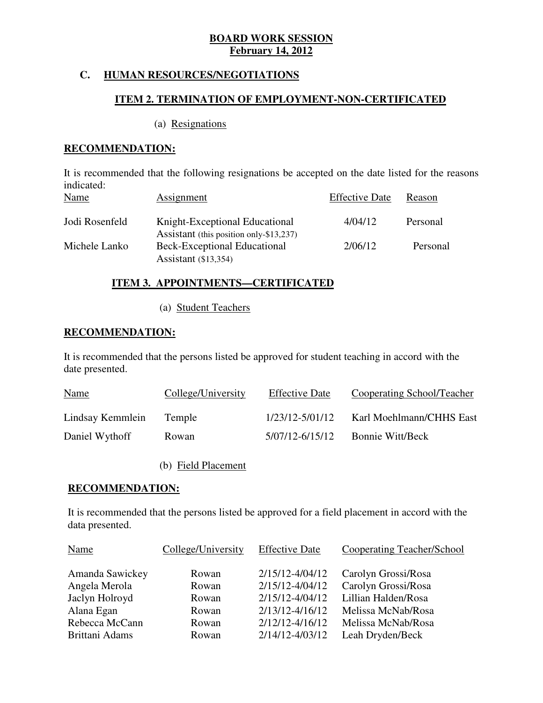# **C. HUMAN RESOURCES/NEGOTIATIONS**

# **ITEM 2. TERMINATION OF EMPLOYMENT-NON-CERTIFICATED**

### (a) Resignations

# **RECOMMENDATION:**

 It is recommended that the following resignations be accepted on the date listed for the reasons  $P^{cc}$   $P^{cc}$   $D^{cd}$ indicated:

| Name           | Assignment                                                                     | <b>Effective Date</b> | Reason   |
|----------------|--------------------------------------------------------------------------------|-----------------------|----------|
| Jodi Rosenfeld | Knight-Exceptional Educational                                                 | 4/04/12               | Personal |
| Michele Lanko  | Assistant (this position only-\$13,237)<br><b>Beck-Exceptional Educational</b> | 2/06/12               | Personal |
|                | Assistant (\$13,354)                                                           |                       |          |

# **ITEM 3. APPOINTMENTS—CERTIFICATED**

# (a) Student Teachers

# **RECOMMENDATION:**

 It is recommended that the persons listed be approved for student teaching in accord with the date presented.

| <b>Name</b>      | College/University | <b>Effective Date</b> | Cooperating School/Teacher |
|------------------|--------------------|-----------------------|----------------------------|
| Lindsay Kemmlein | Temple             | 1/23/12-5/01/12       | Karl Moehlmann/CHHS East   |
| Daniel Wythoff   | Rowan              | 5/07/12-6/15/12       | <b>Bonnie Witt/Beck</b>    |

(b) Field Placement

### **RECOMMENDATION:**

 It is recommended that the persons listed be approved for a field placement in accord with the data presented.

| <b>Name</b>     | College/University | <b>Effective Date</b> | Cooperating Teacher/School |
|-----------------|--------------------|-----------------------|----------------------------|
| Amanda Sawickey | Rowan              | 2/15/12-4/04/12       | Carolyn Grossi/Rosa        |
| Angela Merola   | Rowan              | 2/15/12-4/04/12       | Carolyn Grossi/Rosa        |
| Jaclyn Holroyd  | Rowan              | 2/15/12-4/04/12       | Lillian Halden/Rosa        |
| Alana Egan      | Rowan              | $2/13/12 - 4/16/12$   | Melissa McNab/Rosa         |
| Rebecca McCann  | Rowan              | 2/12/12-4/16/12       | Melissa McNab/Rosa         |
| Brittani Adams  | Rowan              | 2/14/12-4/03/12       | Leah Dryden/Beck           |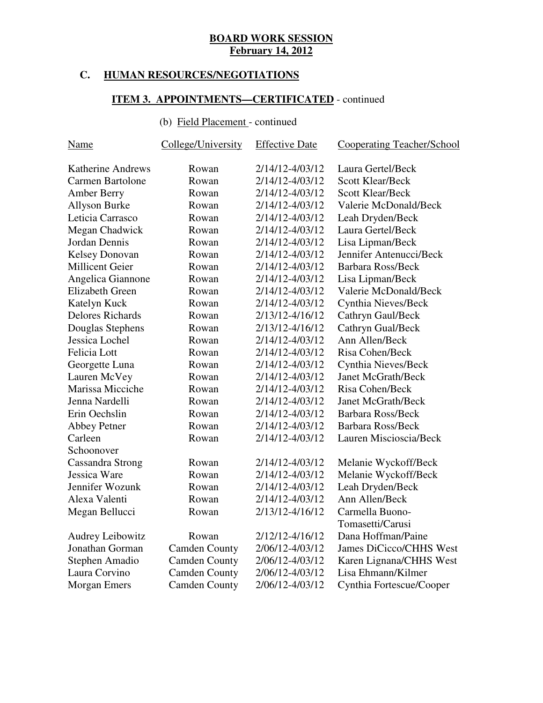# **C. HUMAN RESOURCES/NEGOTIATIONS**

### **ITEM 3. APPOINTMENTS—CERTIFICATED** - continued

### (b) Field Placement - continued

| <b>Name</b>              | College/University   | <b>Effective Date</b> | <b>Cooperating Teacher/School</b> |
|--------------------------|----------------------|-----------------------|-----------------------------------|
| <b>Katherine Andrews</b> | Rowan                | 2/14/12-4/03/12       | Laura Gertel/Beck                 |
| Carmen Bartolone         | Rowan                | 2/14/12-4/03/12       | <b>Scott Klear/Beck</b>           |
| <b>Amber Berry</b>       | Rowan                | 2/14/12-4/03/12       | <b>Scott Klear/Beck</b>           |
| <b>Allyson Burke</b>     | Rowan                | 2/14/12-4/03/12       | Valerie McDonald/Beck             |
| Leticia Carrasco         | Rowan                | 2/14/12-4/03/12       | Leah Dryden/Beck                  |
| Megan Chadwick           | Rowan                | 2/14/12-4/03/12       | Laura Gertel/Beck                 |
| Jordan Dennis            | Rowan                | 2/14/12-4/03/12       | Lisa Lipman/Beck                  |
| <b>Kelsey Donovan</b>    | Rowan                | 2/14/12-4/03/12       | Jennifer Antenucci/Beck           |
| <b>Millicent Geier</b>   | Rowan                | 2/14/12-4/03/12       | <b>Barbara Ross/Beck</b>          |
| Angelica Giannone        | Rowan                | 2/14/12-4/03/12       | Lisa Lipman/Beck                  |
| <b>Elizabeth Green</b>   | Rowan                | 2/14/12-4/03/12       | Valerie McDonald/Beck             |
| Katelyn Kuck             | Rowan                | 2/14/12-4/03/12       | Cynthia Nieves/Beck               |
| <b>Delores Richards</b>  | Rowan                | 2/13/12-4/16/12       | Cathryn Gaul/Beck                 |
| Douglas Stephens         | Rowan                | 2/13/12-4/16/12       | Cathryn Gual/Beck                 |
| Jessica Lochel           | Rowan                | 2/14/12-4/03/12       | Ann Allen/Beck                    |
| Felicia Lott             | Rowan                | 2/14/12-4/03/12       | Risa Cohen/Beck                   |
| Georgette Luna           | Rowan                | 2/14/12-4/03/12       | Cynthia Nieves/Beck               |
| Lauren McVey             | Rowan                | 2/14/12-4/03/12       | <b>Janet McGrath/Beck</b>         |
| Marissa Micciche         | Rowan                | 2/14/12-4/03/12       | Risa Cohen/Beck                   |
| Jenna Nardelli           | Rowan                | 2/14/12-4/03/12       | <b>Janet McGrath/Beck</b>         |
| Erin Oechslin            | Rowan                | 2/14/12-4/03/12       | <b>Barbara Ross/Beck</b>          |
| <b>Abbey Petner</b>      | Rowan                | 2/14/12-4/03/12       | <b>Barbara Ross/Beck</b>          |
| Carleen                  | Rowan                | 2/14/12-4/03/12       | Lauren Miscioscia/Beck            |
| Schoonover               |                      |                       |                                   |
| Cassandra Strong         | Rowan                | 2/14/12-4/03/12       | Melanie Wyckoff/Beck              |
| Jessica Ware             | Rowan                | 2/14/12-4/03/12       | Melanie Wyckoff/Beck              |
| Jennifer Wozunk          | Rowan                | 2/14/12-4/03/12       | Leah Dryden/Beck                  |
| Alexa Valenti            | Rowan                | 2/14/12-4/03/12       | Ann Allen/Beck                    |
| Megan Bellucci           | Rowan                | 2/13/12-4/16/12       | Carmella Buono-                   |
|                          |                      |                       | Tomasetti/Carusi                  |
| <b>Audrey Leibowitz</b>  | Rowan                | 2/12/12-4/16/12       | Dana Hoffman/Paine                |
| Jonathan Gorman          | <b>Camden County</b> | 2/06/12-4/03/12       | James DiCicco/CHHS West           |
| Stephen Amadio           | <b>Camden County</b> | 2/06/12-4/03/12       | Karen Lignana/CHHS West           |
| Laura Corvino            | <b>Camden County</b> | 2/06/12-4/03/12       | Lisa Ehmann/Kilmer                |
| Morgan Emers             | <b>Camden County</b> | 2/06/12-4/03/12       | Cynthia Fortescue/Cooper          |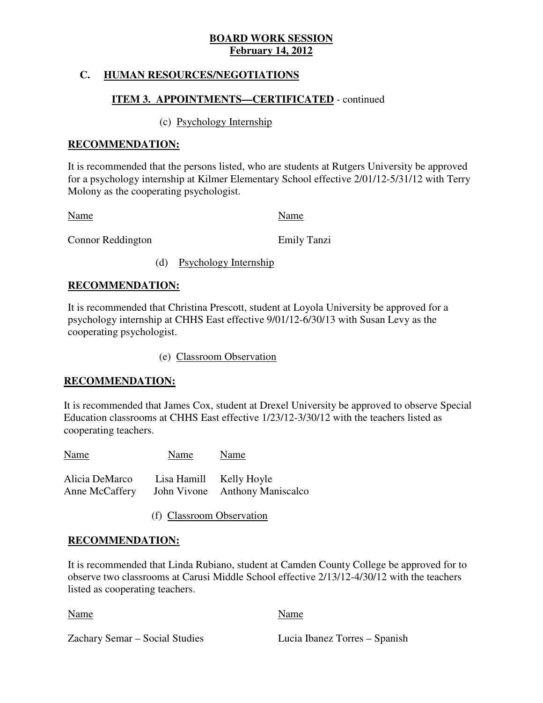# **C. HUMAN RESOURCES/NEGOTIATIONS**

# **ITEM 3. APPOINTMENTS—CERTIFICATED** - continued

# (c) Psychology Internship

# **RECOMMENDATION:**

 It is recommended that the persons listed, who are students at Rutgers University be approved for a psychology internship at Kilmer Elementary School effective 2/01/12-5/31/12 with Terry Molony as the cooperating psychologist.

Name Name Name

Connor Reddington **Emily Tanzi** 

(d) Psychology Internship

# **RECOMMENDATION:**

 It is recommended that Christina Prescott, student at Loyola University be approved for a psychology internship at CHHS East effective 9/01/12-6/30/13 with Susan Levy as the cooperating psychologist.

(e) Classroom Observation

# **RECOMMENDATION:**

 It is recommended that James Cox, student at Drexel University be approved to observe Special Education classrooms at CHHS East effective 1/23/12-3/30/12 with the teachers listed as cooperating teachers.

Name Name Name Alicia DeMarco Lisa Hamill Kelly Hoyle **Anne McCaffery** John Vivone Anthony Maniscalco

(f) Classroom Observation

# **RECOMMENDATION:**

 It is recommended that Linda Rubiano, student at Camden County College be approved for to observe two classrooms at Carusi Middle School effective 2/13/12-4/30/12 with the teachers listed as cooperating teachers.

Name Name Name

Zachary Semar – Social Studies Lucia Ibanez Torres – Spanish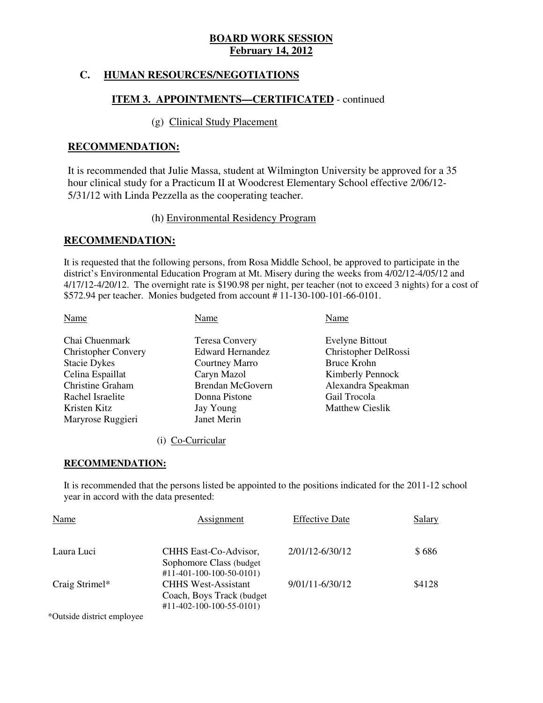# **C. HUMAN RESOURCES/NEGOTIATIONS**

# **ITEM 3. APPOINTMENTS—CERTIFICATED** - continued

# (g) Clinical Study Placement

### **RECOMMENDATION:**

 It is recommended that Julie Massa, student at Wilmington University be approved for a 35 hour clinical study for a Practicum II at Woodcrest Elementary School effective 2/06/12 5/31/12 with Linda Pezzella as the cooperating teacher.

### (h) Environmental Residency Program

### **RECOMMENDATION:**

 It is requested that the following persons, from Rosa Middle School, be approved to participate in the district's Environmental Education Program at Mt. Misery during the weeks from 4/02/12-4/05/12 and 4/17/12-4/20/12. The overnight rate is \$190.98 per night, per teacher (not to exceed 3 nights) for a cost of \$572.94 per teacher. Monies budgeted from account # 11-130-100-101-66-0101.

| Name<br>Name                                          | Name                    |
|-------------------------------------------------------|-------------------------|
| Chai Chuenmark<br><b>Teresa Convery</b>               | <b>Evelyne Bittout</b>  |
| <b>Christopher Convery</b><br><b>Edward Hernandez</b> | Christopher DelRossi    |
| <b>Stacie Dykes</b><br>Courtney Marro                 | Bruce Krohn             |
| Celina Espaillat<br>Caryn Mazol                       | <b>Kimberly Pennock</b> |
| <b>Christine Graham</b><br>Brendan McGovern           | Alexandra Speakman      |
| Rachel Israelite<br>Donna Pistone                     | Gail Trocola            |
| Kristen Kitz<br>Jay Young                             | <b>Matthew Cieslik</b>  |
| Janet Merin<br>Maryrose Ruggieri                      |                         |

### (i) Co-Curricular

### **RECOMMENDATION:**

 It is recommended that the persons listed be appointed to the positions indicated for the 2011-12 school year in accord with the data presented:

| <b>Name</b>    | <b>Assignment</b>                                                                                                                        | <b>Effective Date</b> | <b>Salary</b> |
|----------------|------------------------------------------------------------------------------------------------------------------------------------------|-----------------------|---------------|
| Laura Luci     | CHHS East-Co-Advisor,<br>Sophomore Class (budget)                                                                                        | 2/01/12-6/30/12       | \$686         |
| Craig Strimel* | $\#11 - 401 - 100 - 100 - 50 - 0101$<br><b>CHHS West-Assistant</b><br>Coach, Boys Track (budget)<br>$\#11 - 402 - 100 - 100 - 55 - 0101$ | 9/01/11-6/30/12       | \$4128        |
|                |                                                                                                                                          |                       |               |

\*Outside district employee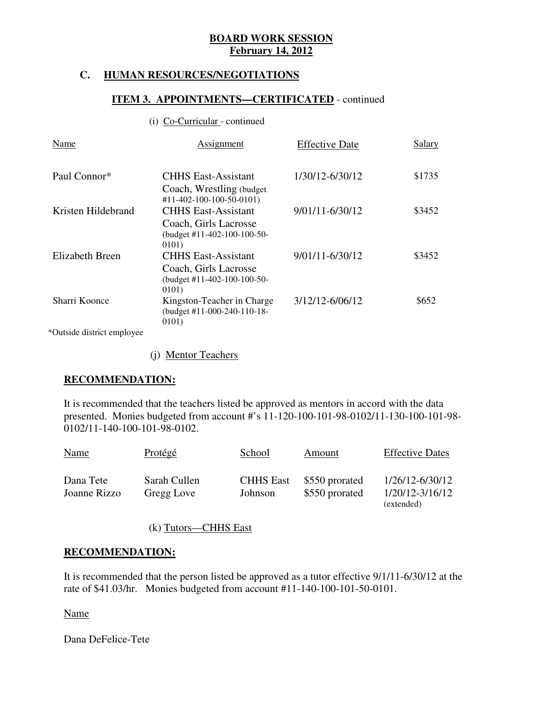# **C. HUMAN RESOURCES/NEGOTIATIONS**

# **ITEM 3. APPOINTMENTS—CERTIFICATED** - continued

### (i) Co-Curricular - continued

| Name                   | <b>Assignment</b>                                                                             | <b>Effective Date</b> | Salary |
|------------------------|-----------------------------------------------------------------------------------------------|-----------------------|--------|
| Paul Connor*           | <b>CHHS East-Assistant</b><br>Coach, Wrestling (budget)<br>#11-402-100-100-50-0101)           | 1/30/12-6/30/12       | \$1735 |
| Kristen Hildebrand     | <b>CHHS East-Assistant</b><br>Coach, Girls Lacrosse<br>$(budget #11-402-100-100-50-$<br>0101) | 9/01/11-6/30/12       | \$3452 |
| <b>Elizabeth Breen</b> | <b>CHHS East-Assistant</b><br>Coach, Girls Lacrosse<br>(budget #11-402-100-100-50-<br>0101)   | 9/01/11-6/30/12       | \$3452 |
| Sharri Koonce          | Kingston-Teacher in Charge<br>(budget #11-000-240-110-18-<br>0101)                            | 3/12/12-6/06/12       | \$652  |

\*Outside district employee

(j) Mentor Teachers

### **RECOMMENDATION:**

 It is recommended that the teachers listed be approved as mentors in accord with the data presented. Monies budgeted from account #'s 11-120-100-101-98-0102/11-130-100-101-98 0102/11-140-100-101-98-0102.

| <b>Name</b>               | <b>Protégé</b>             | School                      | Amount                           | <b>Effective Dates</b>                           |
|---------------------------|----------------------------|-----------------------------|----------------------------------|--------------------------------------------------|
| Dana Tete<br>Joanne Rizzo | Sarah Cullen<br>Gregg Love | <b>CHHS East</b><br>Johnson | \$550 prorated<br>\$550 prorated | 1/26/12-6/30/12<br>1/20/12-3/16/12<br>(extended) |

(k) Tutors—CHHS East

### **RECOMMENDATION:**

 It is recommended that the person listed be approved as a tutor effective 9/1/11-6/30/12 at the rate of \$41.03/hr. Monies budgeted from account #11-140-100-101-50-0101.

Name

Dana DeFelice-Tete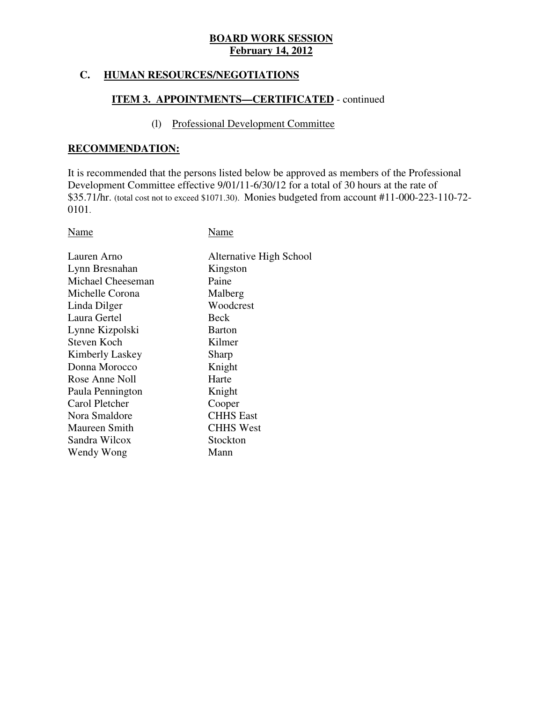# **C. HUMAN RESOURCES/NEGOTIATIONS**

# **ITEM 3. APPOINTMENTS—CERTIFICATED** - continued

# (l) Professional Development Committee

### **RECOMMENDATION:**

 It is recommended that the persons listed below be approved as members of the Professional Development Committee effective 9/01/11-6/30/12 for a total of 30 hours at the rate of \$35.71/hr. (total cost not to exceed \$1071.30). Monies budgeted from account #11-000-223-110-72 0101.

Name Name

| Lauren Arno       | Alternative High School |
|-------------------|-------------------------|
| Lynn Bresnahan    | Kingston                |
| Michael Cheeseman | Paine                   |
| Michelle Corona   | Malberg                 |
| Linda Dilger      | Woodcrest               |
| Laura Gertel      | Beck                    |
| Lynne Kizpolski   | <b>Barton</b>           |
| Steven Koch       | Kilmer                  |
| Kimberly Laskey   | Sharp                   |
| Donna Morocco     | Knight                  |
| Rose Anne Noll    | Harte                   |
| Paula Pennington  | Knight                  |
| Carol Pletcher    | Cooper                  |
| Nora Smaldore     | <b>CHHS</b> East        |
| Maureen Smith     | <b>CHHS West</b>        |
| Sandra Wilcox     | Stockton                |
| Wendy Wong        | Mann                    |
|                   |                         |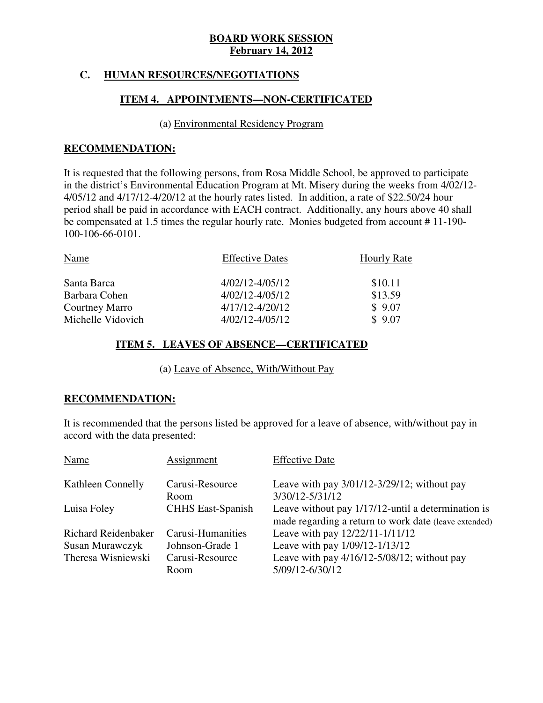# **C. HUMAN RESOURCES/NEGOTIATIONS**

# **ITEM 4. APPOINTMENTS—NON-CERTIFICATED**

### (a) Environmental Residency Program

### **RECOMMENDATION:**

 It is requested that the following persons, from Rosa Middle School, be approved to participate in the district's Environmental Education Program at Mt. Misery during the weeks from 4/02/12 4/05/12 and 4/17/12-4/20/12 at the hourly rates listed. In addition, a rate of \$22.50/24 hour period shall be paid in accordance with EACH contract. Additionally, any hours above 40 shall be compensated at 1.5 times the regular hourly rate. Monies budgeted from account # 11-190 100-106-66-0101.

| Name              | <b>Effective Dates</b> | <b>Hourly Rate</b> |
|-------------------|------------------------|--------------------|
| Santa Barca       | $4/02/12 - 4/05/12$    | \$10.11            |
| Barbara Cohen     | $4/02/12 - 4/05/12$    | \$13.59            |
| Courtney Marro    | $4/17/12 - 4/20/12$    | \$9.07             |
| Michelle Vidovich | $4/02/12 - 4/05/12$    | \$9.07             |

# **ITEM 5. LEAVES OF ABSENCE—CERTIFICATED**

(a) Leave of Absence, With/Without Pay

# **RECOMMENDATION:**

 It is recommended that the persons listed be approved for a leave of absence, with/without pay in accord with the data presented:

| Name                | Assignment               | <b>Effective Date</b>                                                                                       |
|---------------------|--------------------------|-------------------------------------------------------------------------------------------------------------|
| Kathleen Connelly   | Carusi-Resource<br>Room  | Leave with pay $3/01/12 - 3/29/12$ ; without pay<br>3/30/12-5/31/12                                         |
| Luisa Foley         | <b>CHHS</b> East-Spanish | Leave without pay 1/17/12-until a determination is<br>made regarding a return to work date (leave extended) |
| Richard Reidenbaker | Carusi-Humanities        | Leave with pay 12/22/11-1/11/12                                                                             |
| Susan Murawczyk     | Johnson-Grade 1          | Leave with pay 1/09/12-1/13/12                                                                              |
| Theresa Wisniewski  | Carusi-Resource<br>Room  | Leave with pay $4/16/12 - 5/08/12$ ; without pay<br>5/09/12-6/30/12                                         |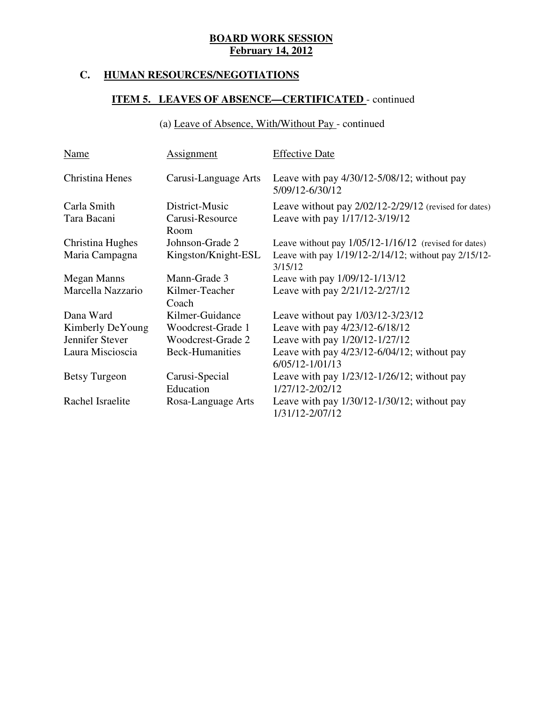# **C. HUMAN RESOURCES/NEGOTIATIONS**

# **ITEM 5. LEAVES OF ABSENCE—CERTIFICATED** - continued

# (a) Leave of Absence, With/Without Pay - continued

| Name                       | <b>Assignment</b>                         | <b>Effective Date</b>                                                                       |
|----------------------------|-------------------------------------------|---------------------------------------------------------------------------------------------|
| Christina Henes            | Carusi-Language Arts                      | Leave with pay $4/30/12 - 5/08/12$ ; without pay<br>5/09/12-6/30/12                         |
| Carla Smith<br>Tara Bacani | District-Music<br>Carusi-Resource<br>Room | Leave without pay $2/02/12 - 2/29/12$ (revised for dates)<br>Leave with pay 1/17/12-3/19/12 |
| Christina Hughes           | Johnson-Grade 2                           | Leave without pay $1/05/12 - 1/16/12$ (revised for dates)                                   |
| Maria Campagna             | Kingston/Knight-ESL                       | Leave with pay 1/19/12-2/14/12; without pay 2/15/12-<br>3/15/12                             |
| <b>Megan Manns</b>         | Mann-Grade 3                              | Leave with pay 1/09/12-1/13/12                                                              |
| Marcella Nazzario          | Kilmer-Teacher<br>Coach                   | Leave with pay 2/21/12-2/27/12                                                              |
| Dana Ward                  | Kilmer-Guidance                           | Leave without pay 1/03/12-3/23/12                                                           |
| Kimberly DeYoung           | Woodcrest-Grade 1                         | Leave with pay 4/23/12-6/18/12                                                              |
| Jennifer Stever            | <b>Woodcrest-Grade 2</b>                  | Leave with pay 1/20/12-1/27/12                                                              |
| Laura Miscioscia           | <b>Beck-Humanities</b>                    | Leave with pay $4/23/12 - 6/04/12$ ; without pay<br>$6/05/12 - 1/01/13$                     |
| <b>Betsy Turgeon</b>       | Carusi-Special<br>Education               | Leave with pay $1/23/12 - 1/26/12$ ; without pay<br>1/27/12-2/02/12                         |
| Rachel Israelite           | Rosa-Language Arts                        | Leave with pay $1/30/12 - 1/30/12$ ; without pay<br>1/31/12-2/07/12                         |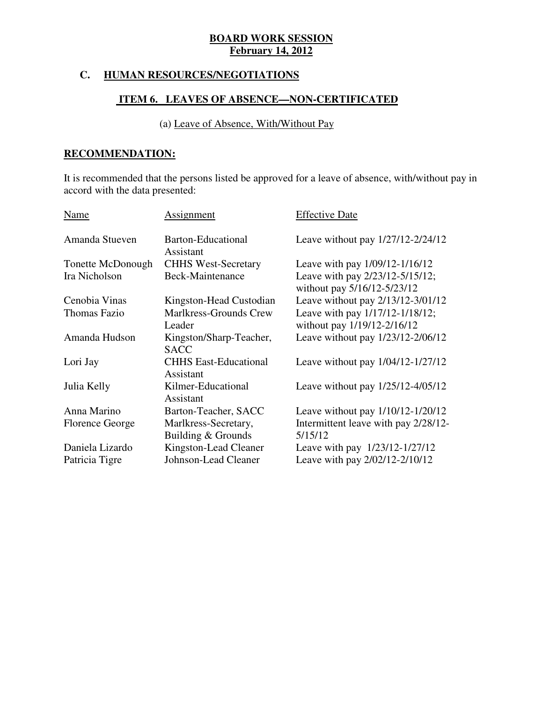# **C. HUMAN RESOURCES/NEGOTIATIONS**

# **ITEM 6. LEAVES OF ABSENCE—NON-CERTIFICATED**

# (a) Leave of Absence, With/Without Pay

# **RECOMMENDATION:**

 It is recommended that the persons listed be approved for a leave of absence, with/without pay in accord with the data presented:

| Name              | Assignment                                | <b>Effective Date</b>                                          |
|-------------------|-------------------------------------------|----------------------------------------------------------------|
| Amanda Stueven    | Barton-Educational<br>Assistant           | Leave without pay 1/27/12-2/24/12                              |
| Tonette McDonough | <b>CHHS West-Secretary</b>                | Leave with pay 1/09/12-1/16/12                                 |
| Ira Nicholson     | Beck-Maintenance                          | Leave with pay 2/23/12-5/15/12;<br>without pay 5/16/12-5/23/12 |
| Cenobia Vinas     | Kingston-Head Custodian                   | Leave without pay 2/13/12-3/01/12                              |
| Thomas Fazio      | Marlkress-Grounds Crew                    | Leave with pay 1/17/12-1/18/12;                                |
|                   | Leader                                    | without pay 1/19/12-2/16/12                                    |
| Amanda Hudson     | Kingston/Sharp-Teacher,<br><b>SACC</b>    | Leave without pay 1/23/12-2/06/12                              |
| Lori Jay          | <b>CHHS East-Educational</b><br>Assistant | Leave without pay 1/04/12-1/27/12                              |
| Julia Kelly       | Kilmer-Educational<br>Assistant           | Leave without pay 1/25/12-4/05/12                              |
| Anna Marino       | Barton-Teacher, SACC                      | Leave without pay 1/10/12-1/20/12                              |
| Florence George   | Marlkress-Secretary,                      | Intermittent leave with pay 2/28/12-                           |
|                   | Building & Grounds                        | 5/15/12                                                        |
| Daniela Lizardo   | Kingston-Lead Cleaner                     | Leave with pay 1/23/12-1/27/12                                 |
| Patricia Tigre    | Johnson-Lead Cleaner                      | Leave with pay 2/02/12-2/10/12                                 |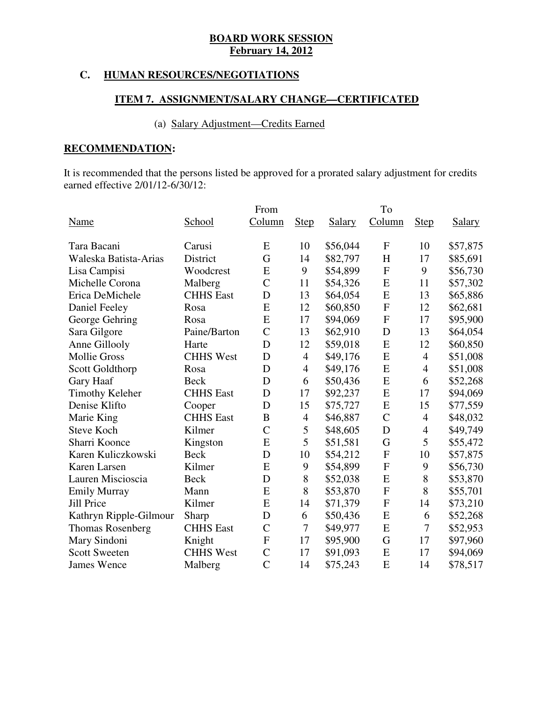# **C. HUMAN RESOURCES/NEGOTIATIONS**

# **ITEM 7. ASSIGNMENT/SALARY CHANGE—CERTIFICATED**

# (a) Salary Adjustment—Credits Earned

# **RECOMMENDATION:**

 It is recommended that the persons listed be approved for a prorated salary adjustment for credits earned effective 2/01/12-6/30/12:

|                         |                  | From           |                |               | To             |                |               |
|-------------------------|------------------|----------------|----------------|---------------|----------------|----------------|---------------|
| Name                    | School           | Column         | <b>Step</b>    | <b>Salary</b> | Column         | <b>Step</b>    | <b>Salary</b> |
| Tara Bacani             | Carusi           | E              | 10             | \$56,044      | $\mathbf{F}$   | 10             | \$57,875      |
| Waleska Batista-Arias   | District         | G              | 14             | \$82,797      | H              | 17             | \$85,691      |
| Lisa Campisi            | Woodcrest        | E              | 9              | \$54,899      | $\overline{F}$ | 9              | \$56,730      |
| Michelle Corona         | Malberg          | $\overline{C}$ | 11             | \$54,326      | ${\bf E}$      | 11             | \$57,302      |
| Erica DeMichele         | <b>CHHS</b> East | D              | 13             | \$64,054      | E              | 13             | \$65,886      |
| Daniel Feeley           | Rosa             | E              | 12             | \$60,850      | $\mathbf{F}$   | 12             | \$62,681      |
| George Gehring          | Rosa             | E              | 17             | \$94,069      | $\mathbf{F}$   | 17             | \$95,900      |
| Sara Gilgore            | Paine/Barton     | $\overline{C}$ | 13             | \$62,910      | D              | 13             | \$64,054      |
| Anne Gillooly           | Harte            | D              | 12             | \$59,018      | E              | 12             | \$60,850      |
| <b>Mollie Gross</b>     | <b>CHHS West</b> | D              | $\overline{4}$ | \$49,176      | E              | $\overline{4}$ | \$51,008      |
| Scott Goldthorp         | Rosa             | D              | $\overline{4}$ | \$49,176      | E              | $\overline{4}$ | \$51,008      |
| Gary Haaf               | <b>Beck</b>      | D              | 6              | \$50,436      | E              | 6              | \$52,268      |
| <b>Timothy Keleher</b>  | <b>CHHS</b> East | D              | 17             | \$92,237      | E              | 17             | \$94,069      |
| Denise Klifto           | Cooper           | D              | 15             | \$75,727      | E              | 15             | \$77,559      |
| Marie King              | <b>CHHS</b> East | B              | $\overline{4}$ | \$46,887      | $\mathcal{C}$  | 4              | \$48,032      |
| <b>Steve Koch</b>       | Kilmer           | $\overline{C}$ | 5              | \$48,605      | D              | $\overline{4}$ | \$49,749      |
| Sharri Koonce           | Kingston         | E              | 5              | \$51,581      | G              | 5              | \$55,472      |
| Karen Kuliczkowski      | <b>Beck</b>      | D              | 10             | \$54,212      | $\mathbf F$    | 10             | \$57,875      |
| Karen Larsen            | Kilmer           | E              | 9              | \$54,899      | $\overline{F}$ | 9              | \$56,730      |
| Lauren Miscioscia       | <b>Beck</b>      | D              | $8\,$          | \$52,038      | E              | 8              | \$53,870      |
| <b>Emily Murray</b>     | Mann             | E              | 8              | \$53,870      | $\mathbf F$    | 8              | \$55,701      |
| <b>Jill Price</b>       | Kilmer           | E              | 14             | \$71,379      | $\mathbf F$    | 14             | \$73,210      |
| Kathryn Ripple-Gilmour  | Sharp            | D              | 6              | \$50,436      | E              | 6              | \$52,268      |
| <b>Thomas Rosenberg</b> | <b>CHHS</b> East | $\mathcal{C}$  | 7              | \$49,977      | E              | 7              | \$52,953      |
| Mary Sindoni            | Knight           | $\mathbf F$    | 17             | \$95,900      | G              | 17             | \$97,960      |
| <b>Scott Sweeten</b>    | <b>CHHS West</b> | $\mathcal{C}$  | 17             | \$91,093      | E              | 17             | \$94,069      |
| <b>James Wence</b>      | Malberg          | $\overline{C}$ | 14             | \$75,243      | E              | 14             | \$78,517      |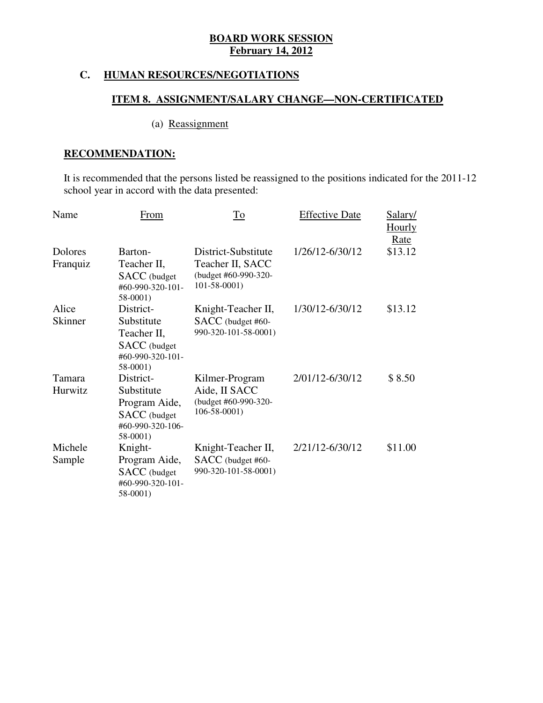# **C. HUMAN RESOURCES/NEGOTIATIONS**

# **ITEM 8. ASSIGNMENT/SALARY CHANGE—NON-CERTIFICATED**

# (a) Reassignment

# **RECOMMENDATION:**

 It is recommended that the persons listed be reassigned to the positions indicated for the 2011-12 school year in accord with the data presented:

| Name                | From                                                                                            | <b>To</b>                                                                            | <b>Effective Date</b> | Salary/<br><u>Hourly</u><br>Rate |
|---------------------|-------------------------------------------------------------------------------------------------|--------------------------------------------------------------------------------------|-----------------------|----------------------------------|
| Dolores<br>Franquiz | Barton-<br>Teacher II,<br><b>SACC</b> (budget<br>#60-990-320-101-<br>58-0001)                   | District-Substitute<br>Teacher II, SACC<br>(budget #60-990-320-<br>$101 - 58 - 0001$ | 1/26/12-6/30/12       | \$13.12                          |
| Alice<br>Skinner    | District-<br>Substitute<br>Teacher II,<br><b>SACC</b> (budget<br>#60-990-320-101-<br>58-0001)   | Knight-Teacher II,<br>SACC (budget #60-<br>990-320-101-58-0001)                      | 1/30/12-6/30/12       | \$13.12                          |
| Tamara<br>Hurwitz   | District-<br>Substitute<br>Program Aide,<br><b>SACC</b> (budget<br>#60-990-320-106-<br>58-0001) | Kilmer-Program<br>Aide, II SACC<br>(budget #60-990-320-<br>$106 - 58 - 0001$         | 2/01/12-6/30/12       | \$8.50                           |
| Michele<br>Sample   | Knight-<br>Program Aide,<br><b>SACC</b> (budget<br>#60-990-320-101-<br>58-0001)                 | Knight-Teacher II,<br>SACC (budget #60-<br>990-320-101-58-0001)                      | 2/21/12-6/30/12       | \$11.00                          |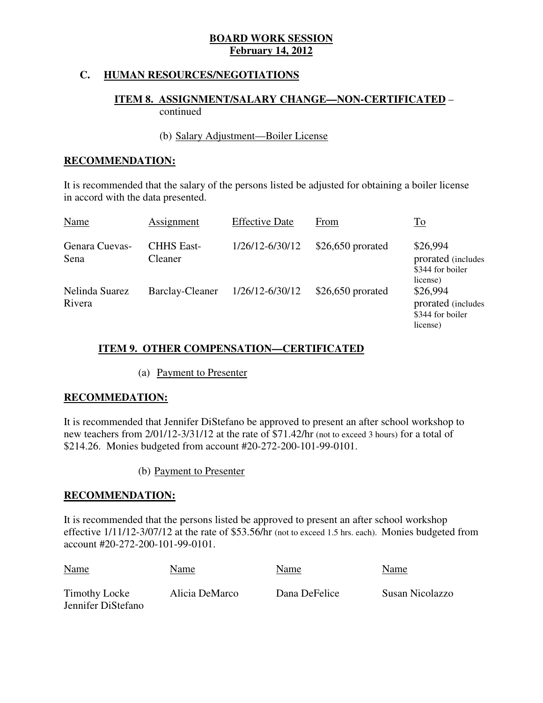# **C. HUMAN RESOURCES/NEGOTIATIONS**

# **ITEM 8. ASSIGNMENT/SALARY CHANGE—NON-CERTIFICATED** – continued

# (b) Salary Adjustment—Boiler License

# **RECOMMENDATION:**

 It is recommended that the salary of the persons listed be adjusted for obtaining a boiler license in accord with the data presented.

| Name                     | Assignment                   | <b>Effective Date</b> | From               | $\underline{\operatorname{To}}$                                |
|--------------------------|------------------------------|-----------------------|--------------------|----------------------------------------------------------------|
| Genara Cuevas-<br>Sena   | <b>CHHS East-</b><br>Cleaner | 1/26/12-6/30/12       | $$26,650$ prorated | \$26,994<br>prorated (includes<br>\$344 for boiler<br>license) |
| Nelinda Suarez<br>Rivera | <b>Barclay-Cleaner</b>       | 1/26/12-6/30/12       | $$26,650$ prorated | \$26,994<br>prorated (includes<br>\$344 for boiler<br>license) |

# **ITEM 9. OTHER COMPENSATION—CERTIFICATED**

# (a) Payment to Presenter

### **RECOMMEDATION:**

 It is recommended that Jennifer DiStefano be approved to present an after school workshop to new teachers from 2/01/12-3/31/12 at the rate of \$71.42/hr (not to exceed 3 hours) for a total of \$214.26. Monies budgeted from account #20-272-200-101-99-0101.

### (b) Payment to Presenter

### **RECOMMENDATION:**

 It is recommended that the persons listed be approved to present an after school workshop effective 1/11/12-3/07/12 at the rate of \$53.56/hr (not to exceed 1.5 hrs. each). Monies budgeted from account #20-272-200-101-99-0101.

| <b>Name</b>                         | Name           | Name          | Name            |
|-------------------------------------|----------------|---------------|-----------------|
| Timothy Locke<br>Jennifer DiStefano | Alicia DeMarco | Dana DeFelice | Susan Nicolazzo |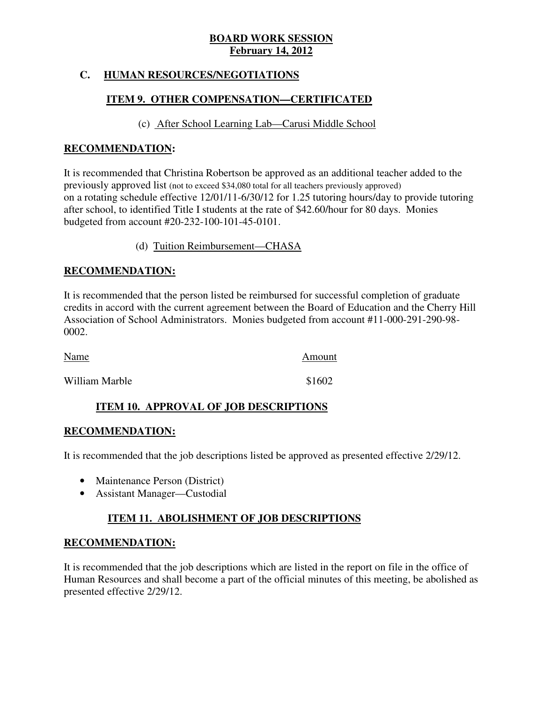# **C. HUMAN RESOURCES/NEGOTIATIONS**

# **ITEM 9. OTHER COMPENSATION—CERTIFICATED**

# (c) After School Learning Lab—Carusi Middle School

# **RECOMMENDATION:**

 It is recommended that Christina Robertson be approved as an additional teacher added to the previously approved list (not to exceed \$34,080 total for all teachers previously approved) on a rotating schedule effective 12/01/11-6/30/12 for 1.25 tutoring hours/day to provide tutoring after school, to identified Title I students at the rate of \$42.60/hour for 80 days. Monies budgeted from account #20-232-100-101-45-0101.

(d) Tuition Reimbursement—CHASA

# **RECOMMENDATION:**

 It is recommended that the person listed be reimbursed for successful completion of graduate credits in accord with the current agreement between the Board of Education and the Cherry Hill Association of School Administrators. Monies budgeted from account #11-000-291-290-98 0002.

| <b>Name</b>    | Amount |
|----------------|--------|
| William Marble | \$1602 |

# **ITEM 10. APPROVAL OF JOB DESCRIPTIONS**

### **RECOMMENDATION:**

It is recommended that the job descriptions listed be approved as presented effective 2/29/12.

- Maintenance Person (District)
- Assistant Manager—Custodial

# **ITEM 11. ABOLISHMENT OF JOB DESCRIPTIONS**

### **RECOMMENDATION:**

 It is recommended that the job descriptions which are listed in the report on file in the office of Human Resources and shall become a part of the official minutes of this meeting, be abolished as presented effective 2/29/12.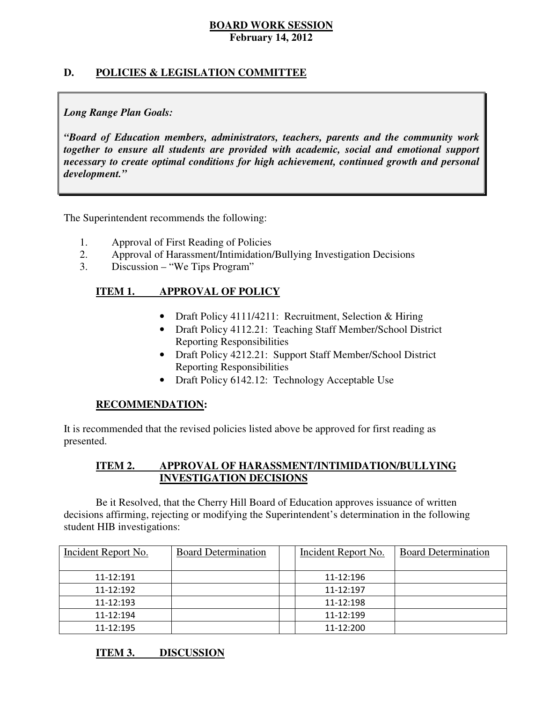# **D. POLICIES & LEGISLATION COMMITTEE**

# *Long Range Plan Goals:*

 *"Board of Education members, administrators, teachers, parents and the community work together to ensure all students are provided with academic, social and emotional support necessary to create optimal conditions for high achievement, continued growth and personal development."* 

The Superintendent recommends the following:

- 1. Approval of First Reading of Policies
- 2. Approval of Harassment/Intimidation/Bullying Investigation Decisions
- 3. Discussion "We Tips Program"

#### **ITEM 1. IMPROVAL OF POLICY**

- Draft Policy 4111/4211: Recruitment, Selection & Hiring
- Draft Policy 4112.21: Teaching Staff Member/School District Reporting Responsibilities
- Draft Policy 4212.21: Support Staff Member/School District Reporting Responsibilities
- Draft Policy 6142.12: Technology Acceptable Use

### **RECOMMENDATION:**

 It is recommended that the revised policies listed above be approved for first reading as presented.

#### **ITEM 2. APPROVAL OF HARASSMENT/INTIMIDATION/BULLYING INVESTIGATION DECISIONS**

 decisions affirming, rejecting or modifying the Superintendent's determination in the following student HIB investigations: Be it Resolved, that the Cherry Hill Board of Education approves issuance of written

| Incident Report No. | <b>Board Determination</b> | Incident Report No. | <b>Board Determination</b> |
|---------------------|----------------------------|---------------------|----------------------------|
|                     |                            |                     |                            |
| 11-12:191           |                            | 11-12:196           |                            |
| 11-12:192           |                            | 11-12:197           |                            |
| 11-12:193           |                            | 11-12:198           |                            |
| 11-12:194           |                            | 11-12:199           |                            |
| 11-12:195           |                            | 11-12:200           |                            |

**ITEM 3. DISCUSSION**